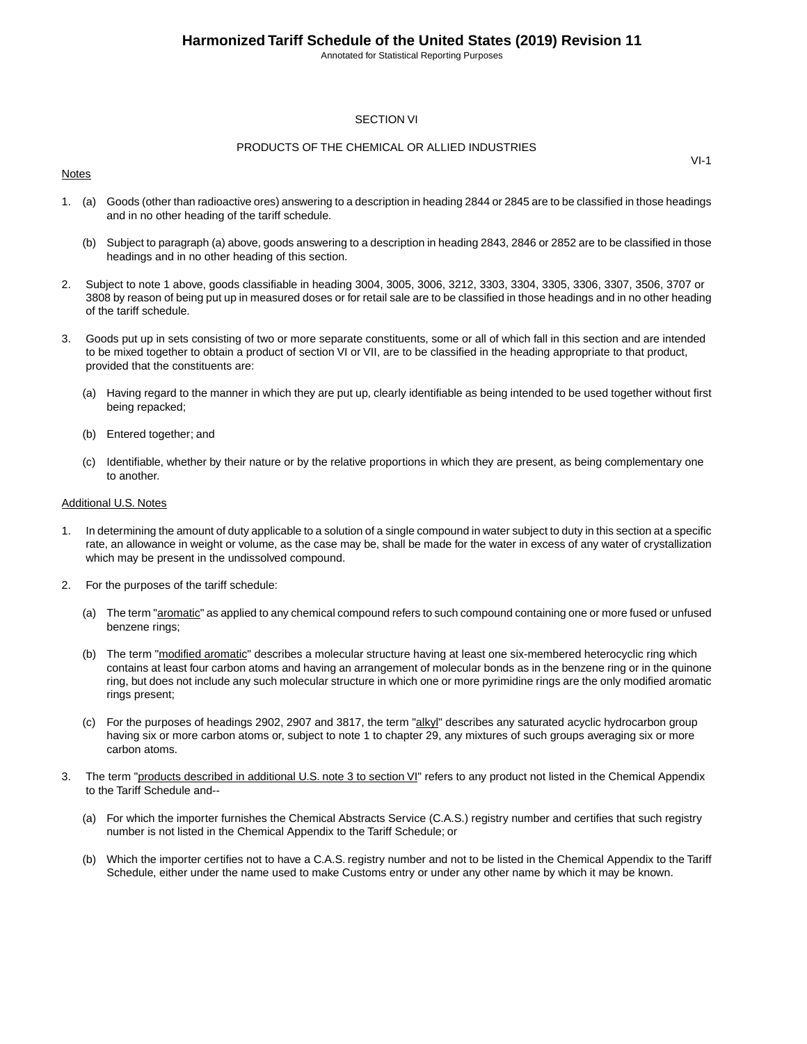Annotated for Statistical Reporting Purposes

#### SECTION VI

#### PRODUCTS OF THE CHEMICAL OR ALLIED INDUSTRIES

#### Notes

1. (a) Goods (other than radioactive ores) answering to a description in heading 2844 or 2845 are to be classified in those headings and in no other heading of the tariff schedule.

- (b) Subject to paragraph (a) above, goods answering to a description in heading 2843, 2846 or 2852 are to be classified in those headings and in no other heading of this section.
- 2. Subject to note 1 above, goods classifiable in heading 3004, 3005, 3006, 3212, 3303, 3304, 3305, 3306, 3307, 3506, 3707 or 3808 by reason of being put up in measured doses or for retail sale are to be classified in those headings and in no other heading of the tariff schedule.
- 3. Goods put up in sets consisting of two or more separate constituents, some or all of which fall in this section and are intended to be mixed together to obtain a product of section VI or VII, are to be classified in the heading appropriate to that product, provided that the constituents are:
	- (a) Having regard to the manner in which they are put up, clearly identifiable as being intended to be used together without first being repacked;
	- (b) Entered together; and
	- (c) Identifiable, whether by their nature or by the relative proportions in which they are present, as being complementary one to another.

#### Additional U.S. Notes

- 1. In determining the amount of duty applicable to a solution of a single compound in water subject to duty in this section at a specific rate, an allowance in weight or volume, as the case may be, shall be made for the water in excess of any water of crystallization which may be present in the undissolved compound.
- 2. For the purposes of the tariff schedule:
	- (a) The term "aromatic" as applied to any chemical compound refers to such compound containing one or more fused or unfused benzene rings;
	- (b) The term "modified aromatic" describes a molecular structure having at least one six-membered heterocyclic ring which contains at least four carbon atoms and having an arrangement of molecular bonds as in the benzene ring or in the quinone ring, but does not include any such molecular structure in which one or more pyrimidine rings are the only modified aromatic rings present;
	- (c) For the purposes of headings 2902, 2907 and 3817, the term "alkyl" describes any saturated acyclic hydrocarbon group having six or more carbon atoms or, subject to note 1 to chapter 29, any mixtures of such groups averaging six or more carbon atoms.
- 3. The term "products described in additional U.S. note 3 to section VI" refers to any product not listed in the Chemical Appendix to the Tariff Schedule and--
	- (a) For which the importer furnishes the Chemical Abstracts Service (C.A.S.) registry number and certifies that such registry number is not listed in the Chemical Appendix to the Tariff Schedule; or
	- (b) Which the importer certifies not to have a C.A.S. registry number and not to be listed in the Chemical Appendix to the Tariff Schedule, either under the name used to make Customs entry or under any other name by which it may be known.

VI-1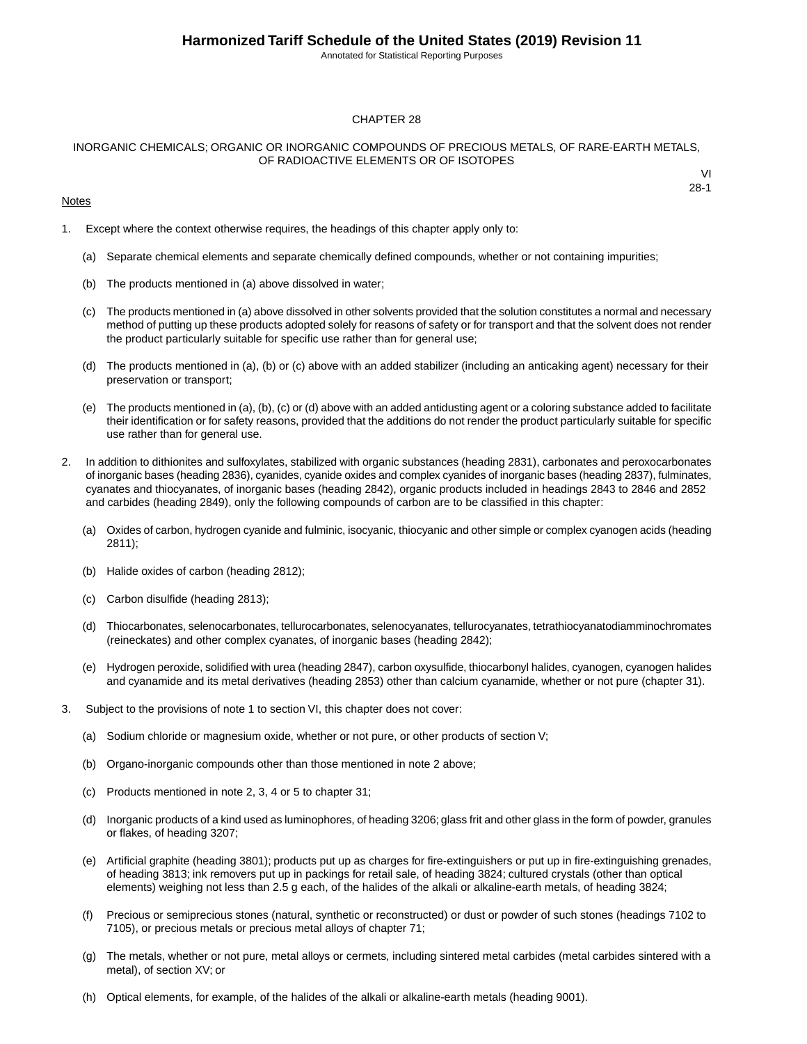Annotated for Statistical Reporting Purposes

#### CHAPTER 28

#### INORGANIC CHEMICALS; ORGANIC OR INORGANIC COMPOUNDS OF PRECIOUS METALS, OF RARE-EARTH METALS, OF RADIOACTIVE ELEMENTS OR OF ISOTOPES

#### **Notes**

1. Except where the context otherwise requires, the headings of this chapter apply only to:

- (a) Separate chemical elements and separate chemically defined compounds, whether or not containing impurities;
- (b) The products mentioned in (a) above dissolved in water;
- (c) The products mentioned in (a) above dissolved in other solvents provided that the solution constitutes a normal and necessary method of putting up these products adopted solely for reasons of safety or for transport and that the solvent does not render the product particularly suitable for specific use rather than for general use;
- (d) The products mentioned in (a), (b) or (c) above with an added stabilizer (including an anticaking agent) necessary for their preservation or transport;
- (e) The products mentioned in (a), (b), (c) or (d) above with an added antidusting agent or a coloring substance added to facilitate their identification or for safety reasons, provided that the additions do not render the product particularly suitable for specific use rather than for general use.
- 2. In addition to dithionites and sulfoxylates, stabilized with organic substances (heading 2831), carbonates and peroxocarbonates of inorganic bases (heading 2836), cyanides, cyanide oxides and complex cyanides of inorganic bases (heading 2837), fulminates, cyanates and thiocyanates, of inorganic bases (heading 2842), organic products included in headings 2843 to 2846 and 2852 and carbides (heading 2849), only the following compounds of carbon are to be classified in this chapter:
	- (a) Oxides of carbon, hydrogen cyanide and fulminic, isocyanic, thiocyanic and other simple or complex cyanogen acids (heading 2811);
	- (b) Halide oxides of carbon (heading 2812);
	- (c) Carbon disulfide (heading 2813);
	- (d) Thiocarbonates, selenocarbonates, tellurocarbonates, selenocyanates, tellurocyanates, tetrathiocyanatodiamminochromates (reineckates) and other complex cyanates, of inorganic bases (heading 2842);
	- (e) Hydrogen peroxide, solidified with urea (heading 2847), carbon oxysulfide, thiocarbonyl halides, cyanogen, cyanogen halides and cyanamide and its metal derivatives (heading 2853) other than calcium cyanamide, whether or not pure (chapter 31).
- 3. Subject to the provisions of note 1 to section VI, this chapter does not cover:
	- (a) Sodium chloride or magnesium oxide, whether or not pure, or other products of section V;
	- (b) Organo-inorganic compounds other than those mentioned in note 2 above;
	- (c) Products mentioned in note 2, 3, 4 or 5 to chapter 31;
	- (d) Inorganic products of a kind used as luminophores, of heading 3206; glass frit and other glass in the form of powder, granules or flakes, of heading 3207;
	- (e) Artificial graphite (heading 3801); products put up as charges for fire-extinguishers or put up in fire-extinguishing grenades, of heading 3813; ink removers put up in packings for retail sale, of heading 3824; cultured crystals (other than optical elements) weighing not less than 2.5 g each, of the halides of the alkali or alkaline-earth metals, of heading 3824;
	- (f) Precious or semiprecious stones (natural, synthetic or reconstructed) or dust or powder of such stones (headings 7102 to 7105), or precious metals or precious metal alloys of chapter 71;
	- (g) The metals, whether or not pure, metal alloys or cermets, including sintered metal carbides (metal carbides sintered with a metal), of section XV; or
	- (h) Optical elements, for example, of the halides of the alkali or alkaline-earth metals (heading 9001).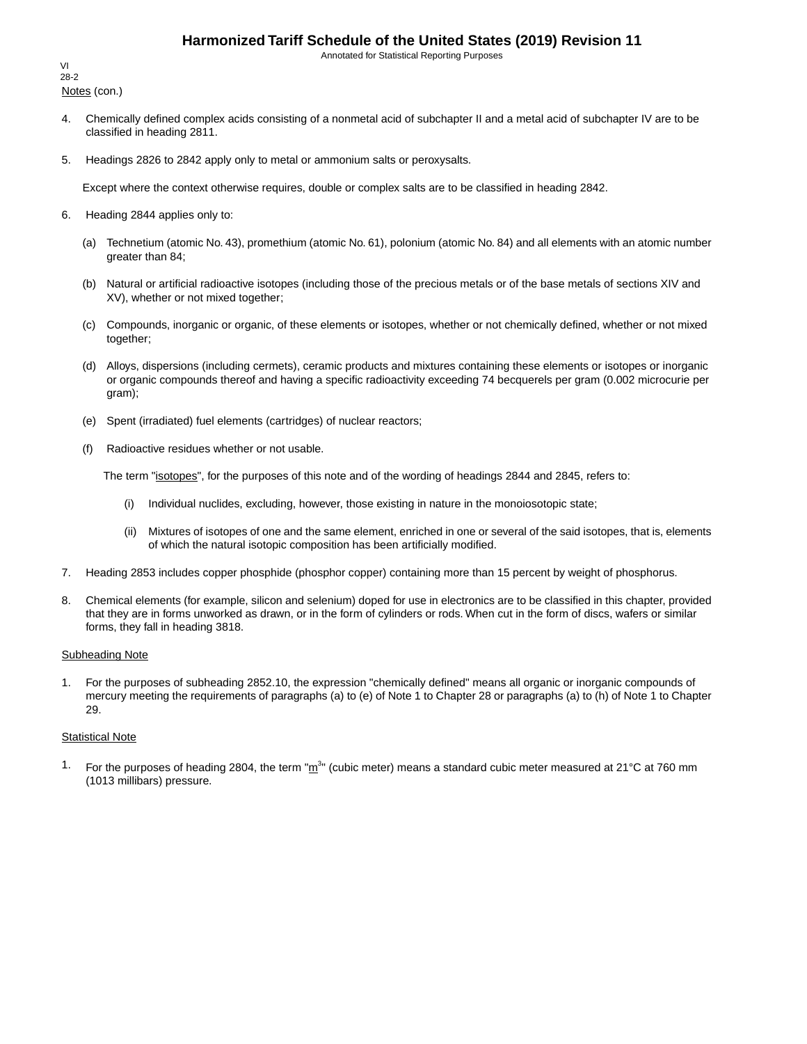Annotated for Statistical Reporting Purposes

Notes (con.) VI 28-2

- 4. Chemically defined complex acids consisting of a nonmetal acid of subchapter II and a metal acid of subchapter IV are to be classified in heading 2811.
- 5. Headings 2826 to 2842 apply only to metal or ammonium salts or peroxysalts.

Except where the context otherwise requires, double or complex salts are to be classified in heading 2842.

- 6. Heading 2844 applies only to:
	- (a) Technetium (atomic No. 43), promethium (atomic No. 61), polonium (atomic No. 84) and all elements with an atomic number greater than 84;
	- (b) Natural or artificial radioactive isotopes (including those of the precious metals or of the base metals of sections XIV and XV), whether or not mixed together;
	- (c) Compounds, inorganic or organic, of these elements or isotopes, whether or not chemically defined, whether or not mixed together;
	- (d) Alloys, dispersions (including cermets), ceramic products and mixtures containing these elements or isotopes or inorganic or organic compounds thereof and having a specific radioactivity exceeding 74 becquerels per gram (0.002 microcurie per gram);
	- (e) Spent (irradiated) fuel elements (cartridges) of nuclear reactors;
	- (f) Radioactive residues whether or not usable.

The term "isotopes", for the purposes of this note and of the wording of headings 2844 and 2845, refers to:

- (i) Individual nuclides, excluding, however, those existing in nature in the monoiosotopic state;
- (ii) Mixtures of isotopes of one and the same element, enriched in one or several of the said isotopes, that is, elements of which the natural isotopic composition has been artificially modified.
- 7. Heading 2853 includes copper phosphide (phosphor copper) containing more than 15 percent by weight of phosphorus.
- 8. Chemical elements (for example, silicon and selenium) doped for use in electronics are to be classified in this chapter, provided that they are in forms unworked as drawn, or in the form of cylinders or rods. When cut in the form of discs, wafers or similar forms, they fall in heading 3818.

#### Subheading Note

1. For the purposes of subheading 2852.10, the expression "chemically defined" means all organic or inorganic compounds of mercury meeting the requirements of paragraphs (a) to (e) of Note 1 to Chapter 28 or paragraphs (a) to (h) of Note 1 to Chapter 29.

#### **Statistical Note**

<sup>1.</sup> For the purposes of heading 2804, the term " $m^{3n}$  (cubic meter) means a standard cubic meter measured at 21°C at 760 mm (1013 millibars) pressure.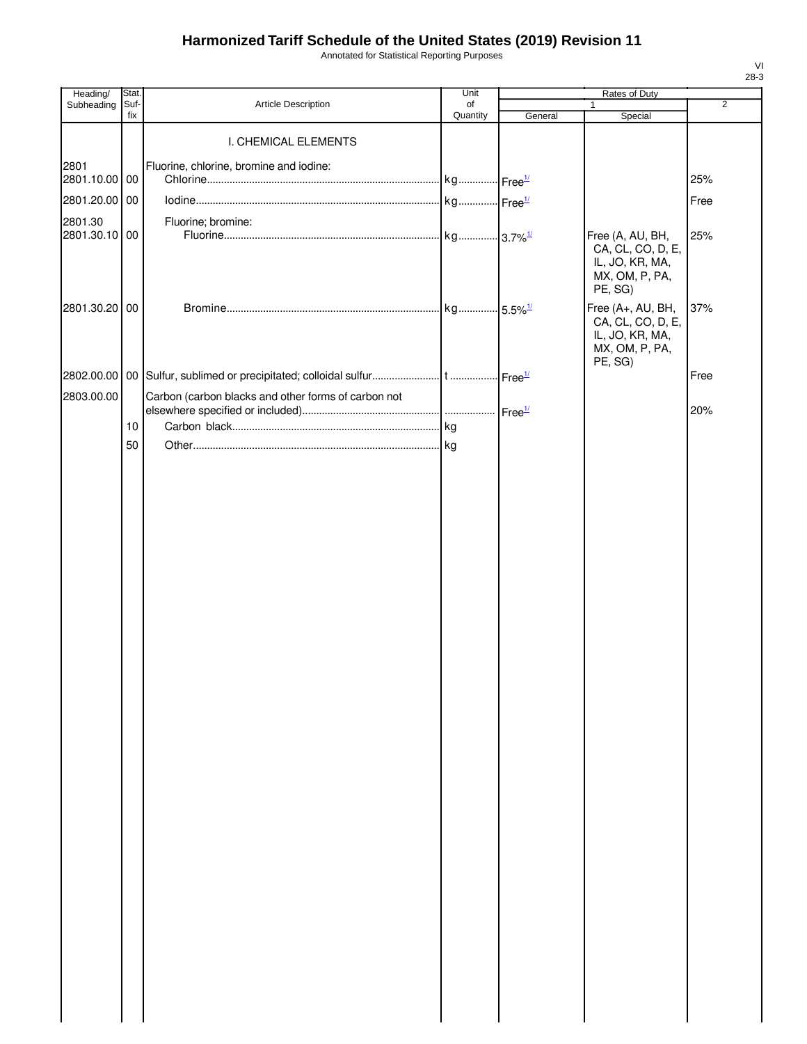Annotated for Statistical Reporting Purposes

| Heading/              | Stat.       |                                                     | Unit           |         | Rates of Duty                                                                          |                |
|-----------------------|-------------|-----------------------------------------------------|----------------|---------|----------------------------------------------------------------------------------------|----------------|
| Subheading            | Suf-<br>fix | Article Description                                 | of<br>Quantity | General | $\mathbf{1}$<br>Special                                                                | $\overline{2}$ |
|                       |             | I. CHEMICAL ELEMENTS                                |                |         |                                                                                        |                |
| 2801<br>2801.10.00 00 |             | Fluorine, chlorine, bromine and iodine:             |                |         |                                                                                        | 25%            |
| 2801.20.00 00         |             |                                                     |                |         |                                                                                        | Free           |
| 2801.30               |             | Fluorine; bromine:                                  |                |         |                                                                                        |                |
| 2801.30.10 00         |             |                                                     |                |         | Free (A, AU, BH,<br>CA, CL, CO, D, E,<br>IL, JO, KR, MA,<br>MX, OM, P, PA,<br>PE, SG)  | 25%            |
| 2801.30.20 00         |             |                                                     |                |         | Free (A+, AU, BH,<br>CA, CL, CO, D, E,<br>IL, JO, KR, MA,<br>MX, OM, P, PA,<br>PE, SG) | 37%            |
|                       |             |                                                     |                |         |                                                                                        | Free           |
| 2803.00.00            |             | Carbon (carbon blacks and other forms of carbon not |                |         |                                                                                        | 20%            |
|                       | 10          |                                                     |                |         |                                                                                        |                |
|                       | 50          |                                                     |                |         |                                                                                        |                |
|                       |             |                                                     |                |         |                                                                                        |                |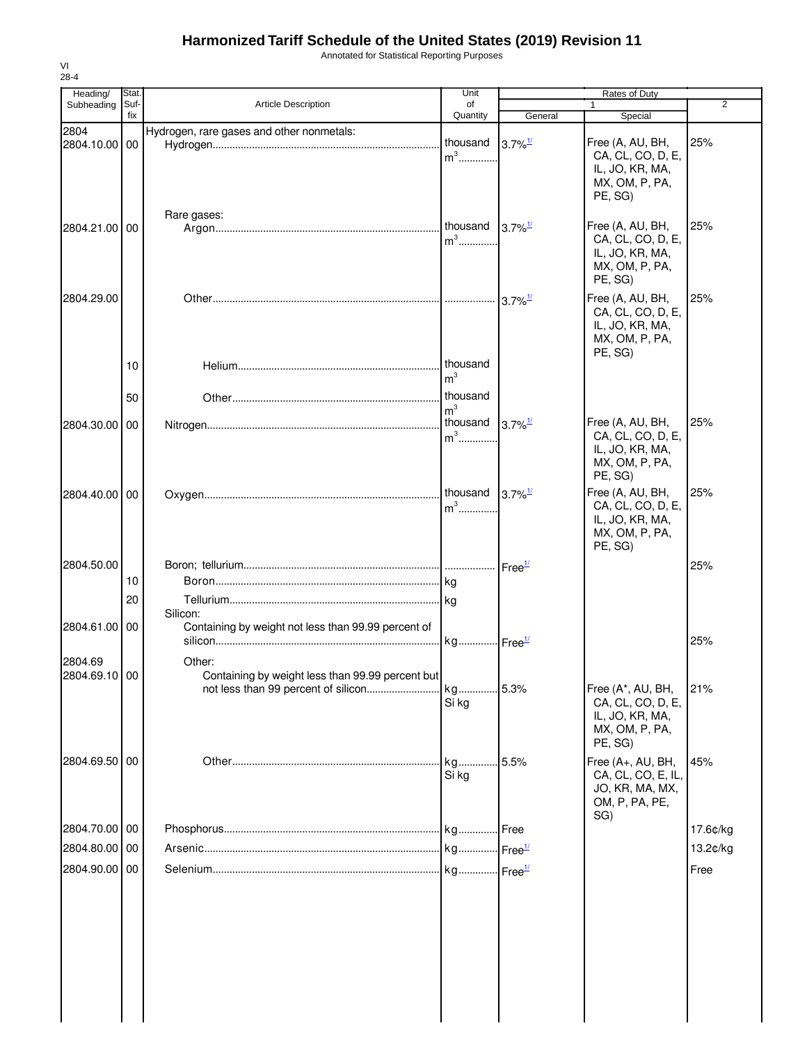Annotated for Statistical Reporting Purposes

| 28-4                     |               |                                                                                                   |                                        |                               |                                                                                        |                |
|--------------------------|---------------|---------------------------------------------------------------------------------------------------|----------------------------------------|-------------------------------|----------------------------------------------------------------------------------------|----------------|
| Heading/<br>Subheading   | Stat.<br>Suf- | <b>Article Description</b>                                                                        | Unit<br>of                             |                               | Rates of Duty                                                                          | $\overline{2}$ |
|                          | fix           |                                                                                                   | Quantity                               | General                       | Special                                                                                |                |
| 2804<br>2804.10.00 00    |               | Hydrogen, rare gases and other nonmetals:                                                         | thousand<br>$m^3$                      | $3.7\%$ <sup>1/</sup>         | Free (A, AU, BH,<br>CA, CL, CO, D, E,<br>IL, JO, KR, MA,<br>MX, OM, P, PA,<br>PE, SG)  | 25%            |
| 2804.21.00 00            |               | Rare gases:                                                                                       | thousand<br>$m3$                       | $3.7\%$ <sup>1/</sup>         | Free (A, AU, BH,<br>CA, CL, CO, D, E,<br>IL, JO, KR, MA,<br>MX, OM, P, PA,<br>PE, SG)  | 25%            |
| 2804.29.00               | 10            |                                                                                                   | thousand<br>m <sup>3</sup><br>thousand | $3.7\%$ <sup>1/</sup>         | Free (A, AU, BH,<br>CA, CL, CO, D, E,<br>IL, JO, KR, MA,<br>MX, OM, P, PA,<br>PE, SG)  | 25%            |
|                          | 50            |                                                                                                   | m <sup>3</sup>                         |                               |                                                                                        |                |
| 2804.30.00 00            |               |                                                                                                   | thousand<br>$m3$                       | $3.7\%$ <sup>1/</sup>         | Free (A, AU, BH,<br>CA, CL, CO, D, E,<br>IL, JO, KR, MA,<br>MX, OM, P, PA,<br>PE, SG)  | 25%            |
| 2804.40.00 00            |               |                                                                                                   | thousand<br>$m^3$                      | $3.7\%$ <sup>1/</sup>         | Free (A, AU, BH,<br>CA, CL, CO, D, E,<br>IL, JO, KR, MA,<br>MX, OM, P, PA,<br>PE, SG)  | 25%            |
| 2804.50.00               | 10<br>20      | Silicon:                                                                                          | <b>kg</b>                              | Free <sup>1/</sup>            |                                                                                        | 25%            |
| 2804.61.00 00            |               | Containing by weight not less than 99.99 percent of                                               | kg                                     | $\mathsf{Free}^{\mathcal{U}}$ |                                                                                        | 25%            |
| 2804.69<br>2804.69.10 00 |               | Other:<br>Containing by weight less than 99.99 percent but<br>not less than 99 percent of silicon | kg<br>Si kg                            | 5.3%                          | Free (A*, AU, BH,<br>CA, CL, CO, D, E,<br>IL, JO, KR, MA,<br>MX, OM, P, PA,<br>PE, SG) | 21%            |
| 2804.69.50 00            |               |                                                                                                   | kg<br>Si kg                            | 5.5%                          | Free (A+, AU, BH,<br>CA, CL, CO, E, IL,<br>JO, KR, MA, MX,<br>OM, P, PA, PE,<br>SG)    | 45%            |
| 2804.70.00 00            |               |                                                                                                   |                                        | Free                          |                                                                                        | 17.6¢/kg       |
| 2804.80.00 00            |               |                                                                                                   |                                        |                               |                                                                                        | 13.2¢/kg       |
| 2804.90.00 00            |               |                                                                                                   |                                        |                               |                                                                                        | Free           |
|                          |               |                                                                                                   |                                        |                               |                                                                                        |                |

VI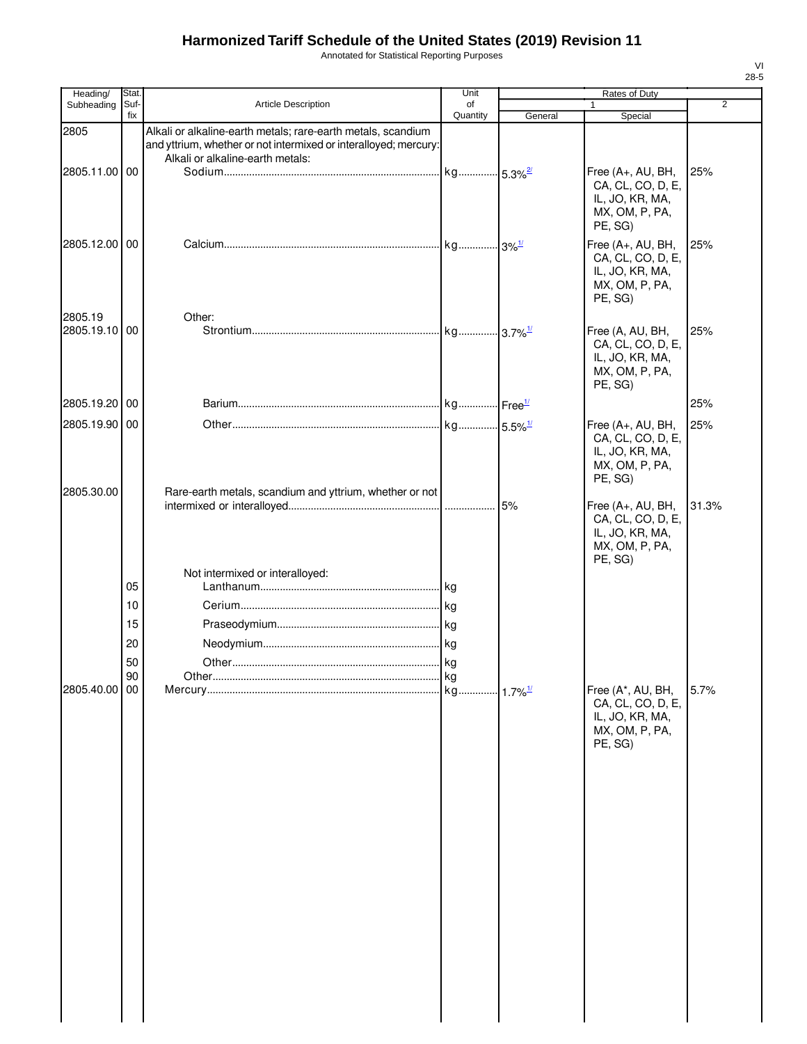Annotated for Statistical Reporting Purposes

| Heading/                 | Stat.                            |                                                                                                                                                                      | Unit           |         | Rates of Duty                                                                          |                |
|--------------------------|----------------------------------|----------------------------------------------------------------------------------------------------------------------------------------------------------------------|----------------|---------|----------------------------------------------------------------------------------------|----------------|
| Subheading               | Suf-<br>fix                      | Article Description                                                                                                                                                  | of<br>Quantity | General | $\mathbf{1}$<br>Special                                                                | $\overline{2}$ |
| 2805                     |                                  | Alkali or alkaline-earth metals; rare-earth metals, scandium<br>and yttrium, whether or not intermixed or interalloyed; mercury:<br>Alkali or alkaline-earth metals: |                |         |                                                                                        |                |
| 2805.11.00 00            |                                  |                                                                                                                                                                      |                |         | Free (A+, AU, BH,<br>CA, CL, CO, D, E,<br>IL, JO, KR, MA,<br>MX, OM, P, PA,<br>PE, SG) | 25%            |
| 2805.12.00 00            |                                  |                                                                                                                                                                      |                |         | Free (A+, AU, BH,<br>CA, CL, CO, D, E,<br>IL, JO, KR, MA,<br>MX, OM, P, PA,<br>PE, SG) | 25%            |
| 2805.19<br>2805.19.10 00 |                                  | Other:                                                                                                                                                               |                |         | Free (A, AU, BH,<br>CA, CL, CO, D, E,<br>IL, JO, KR, MA,<br>MX, OM, P, PA,<br>PE, SG)  | 25%            |
| 2805.19.20 00            |                                  |                                                                                                                                                                      |                |         |                                                                                        | 25%            |
| 2805.19.90 00            |                                  |                                                                                                                                                                      |                |         | Free (A+, AU, BH,<br>CA, CL, CO, D, E,<br>IL, JO, KR, MA,<br>MX, OM, P, PA,<br>PE, SG) | 25%            |
| 2805.30.00               |                                  | Rare-earth metals, scandium and yttrium, whether or not                                                                                                              |                |         | Free (A+, AU, BH,<br>CA, CL, CO, D, E,<br>IL, JO, KR, MA,<br>MX, OM, P, PA,<br>PE, SG) | 31.3%          |
| 2805.40.00 00            | 05<br>10<br>15<br>20<br>50<br>90 | Not intermixed or interalloyed:<br>Other.                                                                                                                            | kg             |         | Free (A*, AU, BH,<br>CA, CL, CO, D, E,<br>IL, JO, KR, MA,<br>MX, OM, P, PA,<br>PE, SG) | 5.7%           |
|                          |                                  |                                                                                                                                                                      |                |         |                                                                                        |                |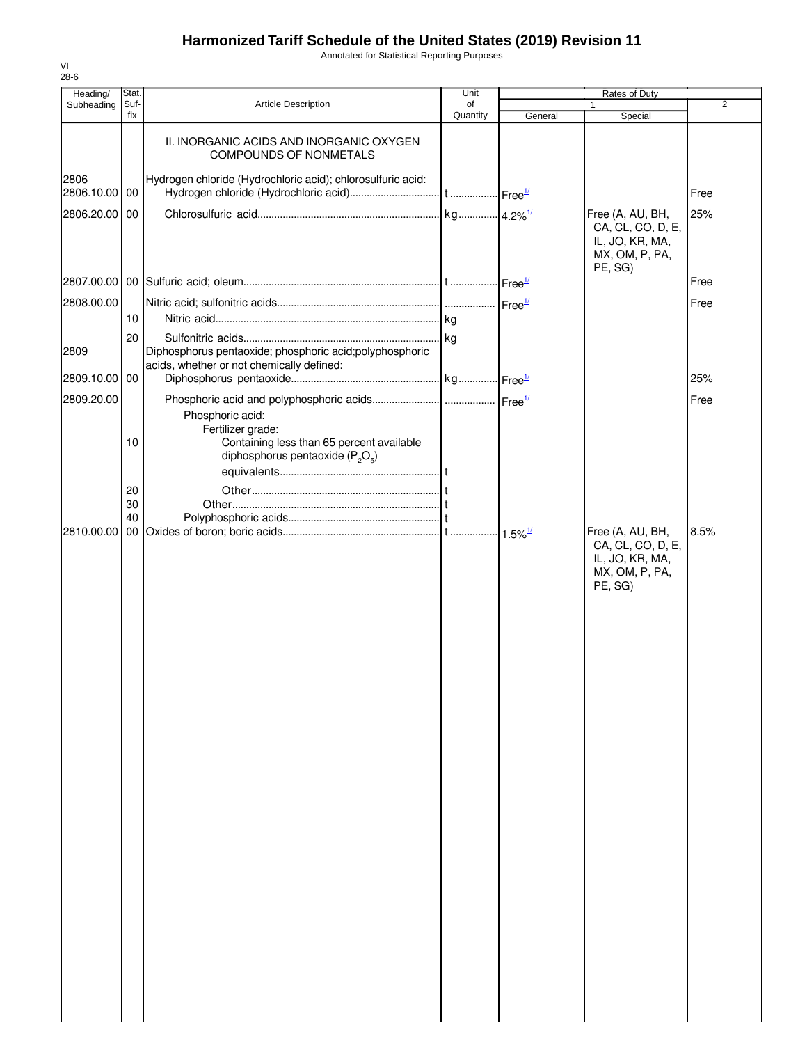Annotated for Statistical Reporting Purposes

| Heading/              | Stat.       |                                                                                                                            | Unit           |         | Rates of Duty                                                                         |      |
|-----------------------|-------------|----------------------------------------------------------------------------------------------------------------------------|----------------|---------|---------------------------------------------------------------------------------------|------|
| Subheading            | Suf-<br>fix | <b>Article Description</b>                                                                                                 | of<br>Quantity | General | $\mathbf{1}$<br>Special                                                               | 2    |
|                       |             | II. INORGANIC ACIDS AND INORGANIC OXYGEN<br><b>COMPOUNDS OF NONMETALS</b>                                                  |                |         |                                                                                       |      |
| 2806<br>2806.10.00 00 |             | Hydrogen chloride (Hydrochloric acid); chlorosulfuric acid:                                                                |                |         |                                                                                       | Free |
| 2806.20.00 00         |             |                                                                                                                            |                |         | Free (A, AU, BH,<br>CA, CL, CO, D, E,<br>IL, JO, KR, MA,<br>MX, OM, P, PA,<br>PE, SG) | 25%  |
|                       |             |                                                                                                                            |                |         |                                                                                       | Free |
| 2808.00.00            |             |                                                                                                                            |                |         |                                                                                       | Free |
|                       | 10          |                                                                                                                            |                |         |                                                                                       |      |
| 2809                  | 20          | Diphosphorus pentaoxide; phosphoric acid; polyphosphoric<br>acids, whether or not chemically defined:                      |                |         |                                                                                       |      |
| 2809.10.00 00         |             |                                                                                                                            |                |         |                                                                                       | 25%  |
| 2809.20.00            |             |                                                                                                                            |                |         |                                                                                       | Free |
|                       | 10          | Phosphoric acid:<br>Fertilizer grade:<br>Containing less than 65 percent available<br>diphosphorus pentaoxide ( $P_2O_5$ ) |                |         |                                                                                       |      |
|                       | 20<br>30    |                                                                                                                            |                |         |                                                                                       |      |
|                       | 40          |                                                                                                                            |                |         |                                                                                       |      |
| 2810.00.00            |             |                                                                                                                            |                |         | Free (A, AU, BH,<br>CA, CL, CO, D, E,<br>IL, JO, KR, MA,<br>MX, OM, P, PA,<br>PE, SG) | 8.5% |
|                       |             |                                                                                                                            |                |         |                                                                                       |      |
|                       |             |                                                                                                                            |                |         |                                                                                       |      |
|                       |             |                                                                                                                            |                |         |                                                                                       |      |
|                       |             |                                                                                                                            |                |         |                                                                                       |      |
|                       |             |                                                                                                                            |                |         |                                                                                       |      |
|                       |             |                                                                                                                            |                |         |                                                                                       |      |
|                       |             |                                                                                                                            |                |         |                                                                                       |      |
|                       |             |                                                                                                                            |                |         |                                                                                       |      |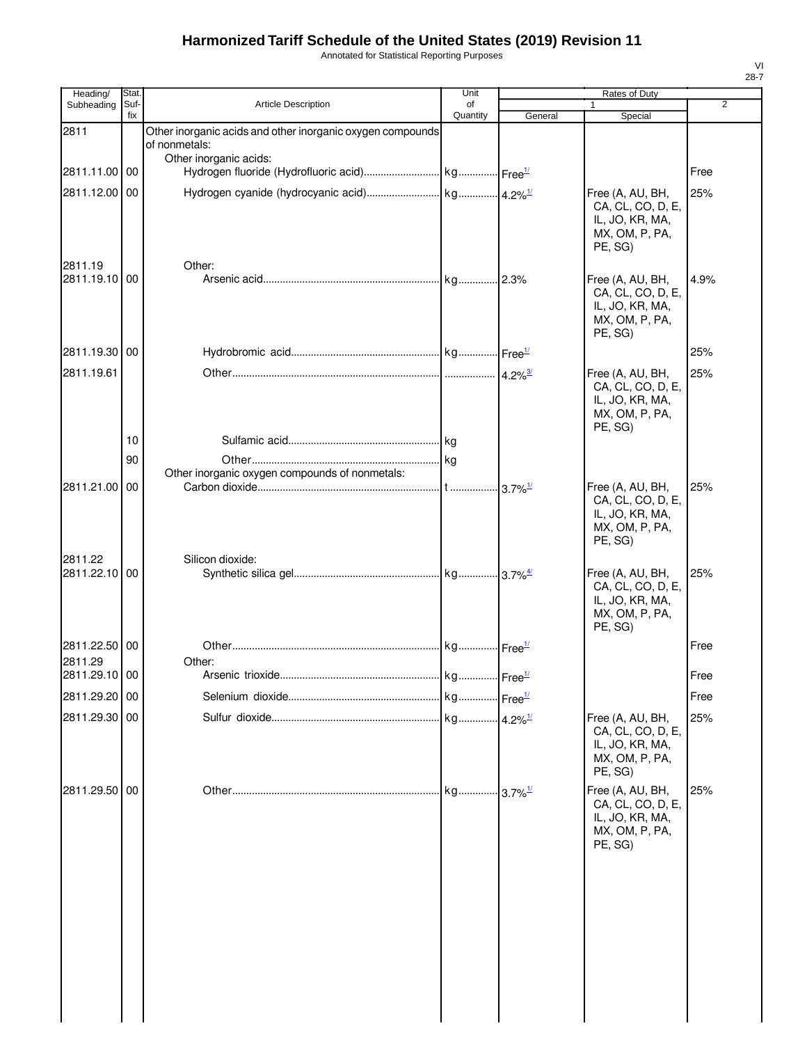Annotated for Statistical Reporting Purposes

| Heading/                 | Stat. |                                                                             | Unit     |         | Rates of Duty                                                                         |                |
|--------------------------|-------|-----------------------------------------------------------------------------|----------|---------|---------------------------------------------------------------------------------------|----------------|
| Subheading               | Suf-  | <b>Article Description</b>                                                  | of       |         |                                                                                       | $\overline{2}$ |
| 2811                     | fix   | Other inorganic acids and other inorganic oxygen compounds<br>of nonmetals: | Quantity | General | Special                                                                               |                |
|                          |       | Other inorganic acids:                                                      |          |         |                                                                                       |                |
| 2811.11.00 00            |       |                                                                             |          |         |                                                                                       | Free           |
| 2811.12.00 00            |       |                                                                             |          |         | Free (A, AU, BH,<br>CA, CL, CO, D, E,<br>IL, JO, KR, MA,<br>MX, OM, P, PA,<br>PE. SG) | 25%            |
| 2811.19<br>2811.19.10 00 |       | Other:                                                                      |          |         | Free (A, AU, BH,<br>CA, CL, CO, D, E,<br>IL, JO, KR, MA,<br>MX, OM, P, PA,<br>PE, SG) | 4.9%           |
| 2811.19.30 00            |       |                                                                             |          |         |                                                                                       | 25%            |
| 2811.19.61               |       |                                                                             |          |         | Free (A, AU, BH,<br>CA, CL, CO, D, E,<br>IL, JO, KR, MA,<br>MX, OM, P, PA,<br>PE, SG) | 25%            |
|                          | 10    |                                                                             |          |         |                                                                                       |                |
|                          | 90    |                                                                             |          |         |                                                                                       |                |
|                          |       | Other inorganic oxygen compounds of nonmetals:                              |          |         |                                                                                       |                |
| 2811.21.00 00            |       |                                                                             |          |         | Free (A, AU, BH,<br>CA, CL, CO, D, E,<br>IL, JO, KR, MA,<br>MX, OM, P, PA,<br>PE, SG) | 25%            |
| 2811.22<br>2811.22.10    | 00    | Silicon dioxide:                                                            |          |         | Free (A, AU, BH,<br>CA, CL, CO, D, E,<br>IL, JO, KR, MA,<br>MX, OM, P, PA,<br>PE, SG) | 25%            |
| 2811.22.50 00            |       |                                                                             |          |         |                                                                                       | Free           |
| 2811.29                  |       | Other:                                                                      |          |         |                                                                                       |                |
| 2811.29.10 00            |       |                                                                             |          |         |                                                                                       | Free           |
| 2811.29.20 00            |       |                                                                             |          |         |                                                                                       | Free           |
| 2811.29.30 00            |       |                                                                             |          |         | Free (A, AU, BH,<br>CA, CL, CO, D, E,<br>IL, JO, KR, MA,<br>MX, OM, P, PA,<br>PE, SG) | 25%            |
| 2811.29.50 00            |       |                                                                             |          |         | Free (A, AU, BH,<br>CA, CL, CO, D, E,<br>IL, JO, KR, MA,<br>MX, OM, P, PA,<br>PE, SG) | 25%            |
|                          |       |                                                                             |          |         |                                                                                       |                |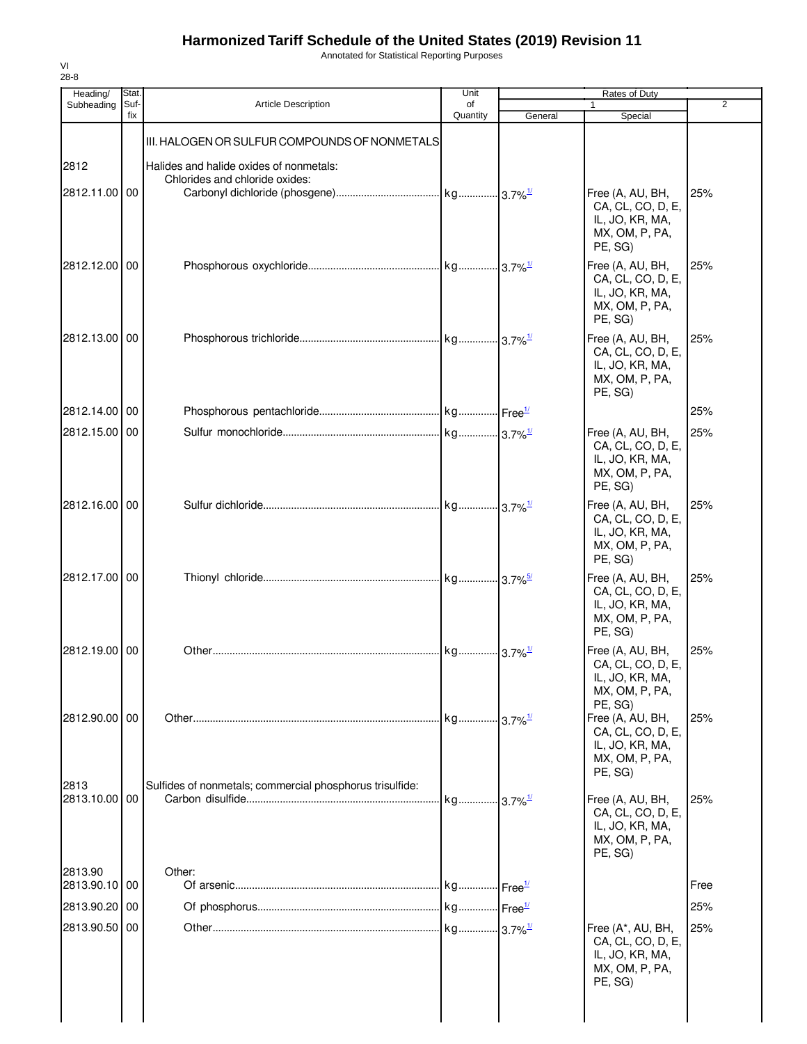Annotated for Statistical Reporting Purposes

| $28 - 8$<br>Heading/     | Stat.       |                                                                           | Unit           |         | Rates of Duty                                                                                    |                |
|--------------------------|-------------|---------------------------------------------------------------------------|----------------|---------|--------------------------------------------------------------------------------------------------|----------------|
| Subheading               | Suf-<br>fix | <b>Article Description</b>                                                | of<br>Quantity | General | Special                                                                                          | $\overline{2}$ |
|                          |             | III. HALOGEN OR SULFUR COMPOUNDS OF NONMETALS                             |                |         |                                                                                                  |                |
| 2812<br>2812.11.00 00    |             | Halides and halide oxides of nonmetals:<br>Chlorides and chloride oxides: |                |         | Free (A, AU, BH,<br>CA, CL, CO, D, E,<br>IL, JO, KR, MA,<br>MX, OM, P, PA,                       | 25%            |
| 2812.12.00 00            |             |                                                                           |                |         | PE, SG)<br>Free (A, AU, BH,<br>CA, CL, CO, D, E,<br>IL, JO, KR, MA,<br>MX, OM, P, PA,<br>PE, SG) | 25%            |
| 2812.13.00 00            |             |                                                                           |                |         | Free (A, AU, BH,<br>CA, CL, CO, D, E,<br>IL, JO, KR, MA,<br>MX, OM, P, PA,<br>PE. SG)            | 25%            |
| 2812.14.00 00            |             |                                                                           |                |         |                                                                                                  | 25%            |
| 2812.15.00 00            |             |                                                                           |                |         | Free (A, AU, BH,<br>CA, CL, CO, D, E,<br>IL, JO, KR, MA,<br>MX, OM, P, PA,<br>PE, SG)            | 25%            |
| 2812.16.00 00            |             |                                                                           |                |         | Free (A, AU, BH,<br>CA, CL, CO, D, E,<br>IL, JO, KR, MA,<br>MX, OM, P, PA,<br>PE, SG)            | 25%            |
| 2812.17.00 00            |             |                                                                           |                |         | Free (A, AU, BH,<br>CA, CL, CO, D, E,<br>IL, JO, KR, MA,<br>MX, OM, P, PA,<br>PE, SG)            | 25%            |
| 2812.19.00 00            |             |                                                                           |                |         | Free (A, AU, BH,<br>CA, CL, CO, D, E,<br>IL, JO, KR, MA,<br>MX, OM, P, PA,<br>PE, SG)            | 25%            |
| 2812.90.00 00            |             |                                                                           |                |         | Free (A, AU, BH,<br>CA, CL, CO, D, E,<br>IL, JO, KR, MA,<br>MX, OM, P, PA,<br>PE, SG)            | 25%            |
| 2813<br>2813.10.00 00    |             | Sulfides of nonmetals; commercial phosphorus trisulfide:                  |                |         | Free (A, AU, BH,<br>CA, CL, CO, D, E,<br>IL, JO, KR, MA,<br>MX, OM, P, PA,<br>PE, SG)            | 25%            |
| 2813.90<br>2813.90.10 00 |             | Other:                                                                    |                |         |                                                                                                  | Free           |
| 2813.90.20 00            |             |                                                                           |                |         |                                                                                                  | 25%            |
| 2813.90.50 00            |             |                                                                           |                |         | Free (A*, AU, BH,<br>CA, CL, CO, D, E,<br>IL, JO, KR, MA,<br>MX, OM, P, PA,<br>PE, SG)           | 25%            |
|                          |             |                                                                           |                |         |                                                                                                  |                |

VI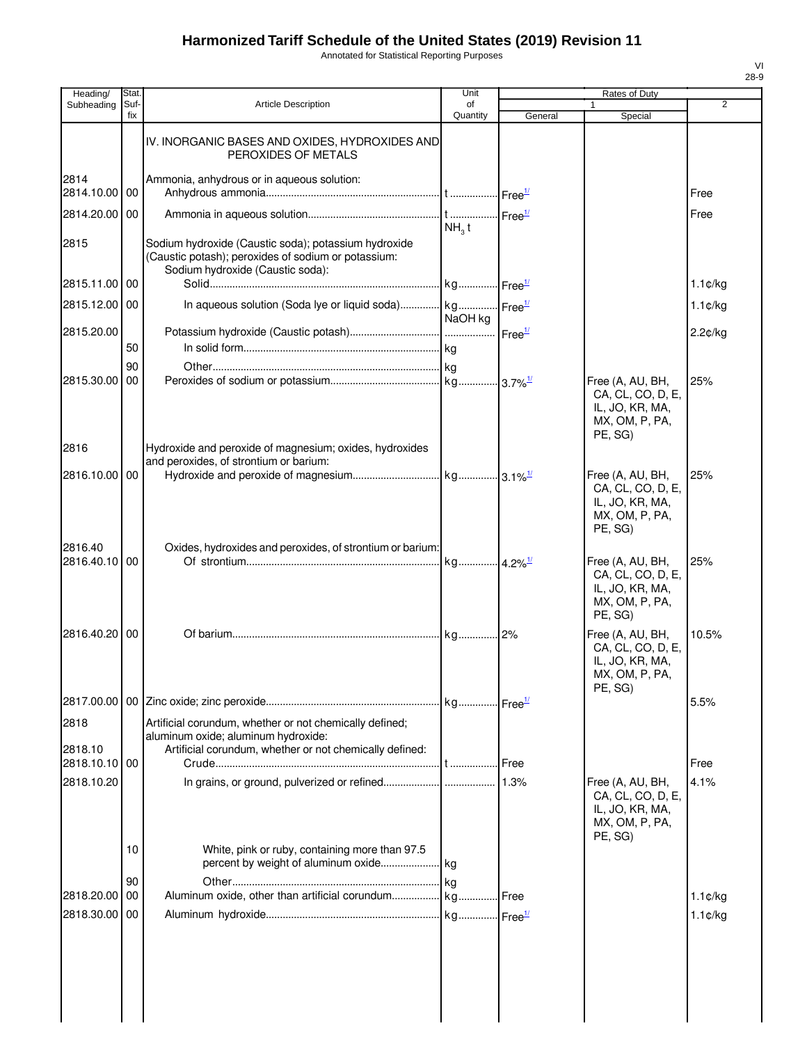Annotated for Statistical Reporting Purposes

| Heading/                 | Stat.       |                                                                                                                                                 | Unit              |         | Rates of Duty                                                                         |                   |
|--------------------------|-------------|-------------------------------------------------------------------------------------------------------------------------------------------------|-------------------|---------|---------------------------------------------------------------------------------------|-------------------|
| Subheading               | Suf-<br>fix | <b>Article Description</b>                                                                                                                      | of<br>Quantity    | General | 1<br>Special                                                                          | 2                 |
|                          |             | IV. INORGANIC BASES AND OXIDES, HYDROXIDES AND<br>PEROXIDES OF METALS                                                                           |                   |         |                                                                                       |                   |
| 2814<br>2814.10.00 00    |             | Ammonia, anhydrous or in aqueous solution:                                                                                                      |                   |         |                                                                                       | Free              |
| 2814.20.00               | 00          |                                                                                                                                                 | NH <sub>3</sub> t |         |                                                                                       | Free              |
| 2815                     |             | Sodium hydroxide (Caustic soda); potassium hydroxide<br>(Caustic potash); peroxides of sodium or potassium:<br>Sodium hydroxide (Caustic soda): |                   |         |                                                                                       |                   |
| 2815.11.00 00            |             |                                                                                                                                                 |                   |         |                                                                                       | $1.1$ ¢/kg        |
| 2815.12.00 00            |             | In aqueous solution (Soda lye or liquid soda) kg                                                                                                | NaOH kg           |         |                                                                                       | $1.1$ ¢/kg        |
| 2815.20.00               |             |                                                                                                                                                 |                   |         |                                                                                       | 2.2¢/kg           |
|                          | 50          |                                                                                                                                                 |                   |         |                                                                                       |                   |
|                          | 90          |                                                                                                                                                 |                   |         |                                                                                       |                   |
| 2815.30.00               | 00          |                                                                                                                                                 |                   |         | Free (A, AU, BH,<br>CA, CL, CO, D, E,<br>IL, JO, KR, MA,<br>MX, OM, P, PA,<br>PE, SG) | 25%               |
| 2816                     |             | Hydroxide and peroxide of magnesium; oxides, hydroxides                                                                                         |                   |         |                                                                                       |                   |
| 2816.10.00               | 00          | and peroxides, of strontium or barium:                                                                                                          |                   |         | Free (A, AU, BH,                                                                      | 25%               |
|                          |             |                                                                                                                                                 |                   |         | CA, CL, CO, D, E,<br>IL, JO, KR, MA,<br>MX, OM, P, PA,<br>PE, SG)                     |                   |
| 2816.40<br>2816.40.10 00 |             | Oxides, hydroxides and peroxides, of strontium or barium:                                                                                       |                   |         | Free (A, AU, BH,                                                                      | 25%               |
|                          |             |                                                                                                                                                 |                   |         | CA, CL, CO, D, E,<br>IL, JO, KR, MA,<br>MX, OM, P, PA,<br>PE, SG)                     |                   |
| 2816.40.20 00            |             |                                                                                                                                                 |                   |         | Free (A, AU, BH,<br>CA, CL, CO, D, E,<br>IL, JO, KR, MA,<br>MX, OM, P, PA,<br>PE, SG) | 10.5%             |
|                          |             |                                                                                                                                                 |                   |         |                                                                                       | 5.5%              |
| 2818                     |             | Artificial corundum, whether or not chemically defined;                                                                                         |                   |         |                                                                                       |                   |
| 2818.10                  |             | aluminum oxide; aluminum hydroxide:<br>Artificial corundum, whether or not chemically defined:                                                  |                   |         |                                                                                       |                   |
| 2818.10.10 00            |             |                                                                                                                                                 |                   |         |                                                                                       | Free              |
| 2818.10.20               |             |                                                                                                                                                 |                   |         | Free (A, AU, BH,<br>CA, CL, CO, D, E,<br>IL, JO, KR, MA,<br>MX, OM, P, PA,<br>PE, SG) | 4.1%              |
|                          | 10          | White, pink or ruby, containing more than 97.5                                                                                                  |                   |         |                                                                                       |                   |
|                          | 90          |                                                                                                                                                 |                   |         |                                                                                       |                   |
| 2818.20.00               | 00          |                                                                                                                                                 |                   |         |                                                                                       | $1.1$ ¢/kg        |
| 2818.30.00               | 00          |                                                                                                                                                 |                   |         |                                                                                       | $1.1 \text{C/kg}$ |
|                          |             |                                                                                                                                                 |                   |         |                                                                                       |                   |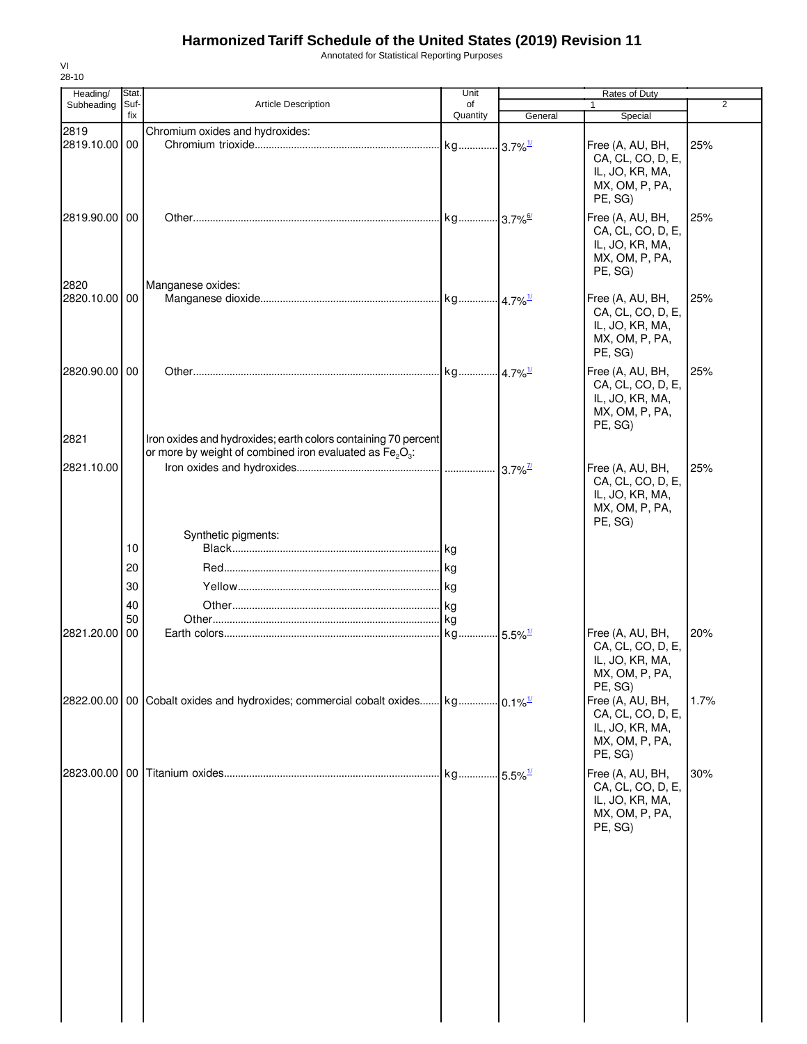Annotated for Statistical Reporting Purposes

| Heading/              | Stat.       |                                                                                                                             | Unit           |                               | Rates of Duty                                                                         |      |
|-----------------------|-------------|-----------------------------------------------------------------------------------------------------------------------------|----------------|-------------------------------|---------------------------------------------------------------------------------------|------|
| Subheading            | Suf-<br>fix | Article Description                                                                                                         | of<br>Quantity | General                       | $\mathbf{1}$<br>Special                                                               | 2    |
| 2819                  |             | Chromium oxides and hydroxides:                                                                                             |                |                               |                                                                                       |      |
| 2819.10.00            | 00          |                                                                                                                             |                |                               | Free (A, AU, BH,<br>CA, CL, CO, D, E,<br>IL, JO, KR, MA,<br>MX, OM, P, PA,<br>PE, SG) | 25%  |
| 2819.90.00 00         |             |                                                                                                                             |                |                               | Free (A, AU, BH,<br>CA, CL, CO, D, E,<br>IL, JO, KR, MA,<br>MX, OM, P, PA,<br>PE, SG) | 25%  |
| 2820<br>2820.10.00 00 |             | Manganese oxides:                                                                                                           |                |                               | Free (A, AU, BH,                                                                      | 25%  |
|                       |             |                                                                                                                             |                |                               | CA, CL, CO, D, E,<br>IL, JO, KR, MA,<br>MX, OM, P, PA,<br>PE, SG)                     |      |
| 2820.90.00 00         |             |                                                                                                                             |                |                               | Free (A, AU, BH,<br>CA, CL, CO, D, E,<br>IL, JO, KR, MA,<br>MX, OM, P, PA,<br>PE, SG) | 25%  |
| 2821                  |             | Iron oxides and hydroxides; earth colors containing 70 percent<br>or more by weight of combined iron evaluated as $Fe2O3$ : |                |                               |                                                                                       |      |
| 2821.10.00            |             |                                                                                                                             |                |                               | Free (A, AU, BH,                                                                      | 25%  |
|                       |             |                                                                                                                             |                |                               | CA, CL, CO, D, E,<br>IL, JO, KR, MA,<br>MX, OM, P, PA,<br>PE, SG)                     |      |
|                       | 10          | Synthetic pigments:                                                                                                         |                |                               |                                                                                       |      |
|                       | 20          |                                                                                                                             |                |                               |                                                                                       |      |
|                       |             |                                                                                                                             |                |                               |                                                                                       |      |
|                       | 30          |                                                                                                                             |                |                               |                                                                                       |      |
|                       | 40<br>50    |                                                                                                                             |                |                               |                                                                                       |      |
| 2821.20.00            | 00          |                                                                                                                             |                |                               | Free (A, AU, BH,                                                                      | 20%  |
|                       |             |                                                                                                                             |                |                               | CA, CL, CO, D, E,<br>IL, JO, KR, MA,<br>MX, OM, P, PA,<br>PE, SG)                     |      |
|                       |             | $2822.00.00$ 00 Cobalt oxides and hydroxides; commercial cobalt oxides kg                                                   |                |                               | Free (A, AU, BH,<br>CA, CL, CO, D, E,<br>IL, JO, KR, MA,<br>MX, OM, P, PA,<br>PE, SG) | 1.7% |
|                       |             |                                                                                                                             | kg             | $\cdot$ 5.5% $^{\frac{1}{2}}$ | Free (A, AU, BH,<br>CA, CL, CO, D, E,<br>IL, JO, KR, MA,<br>MX, OM, P, PA,<br>PE, SG) | 30%  |
|                       |             |                                                                                                                             |                |                               |                                                                                       |      |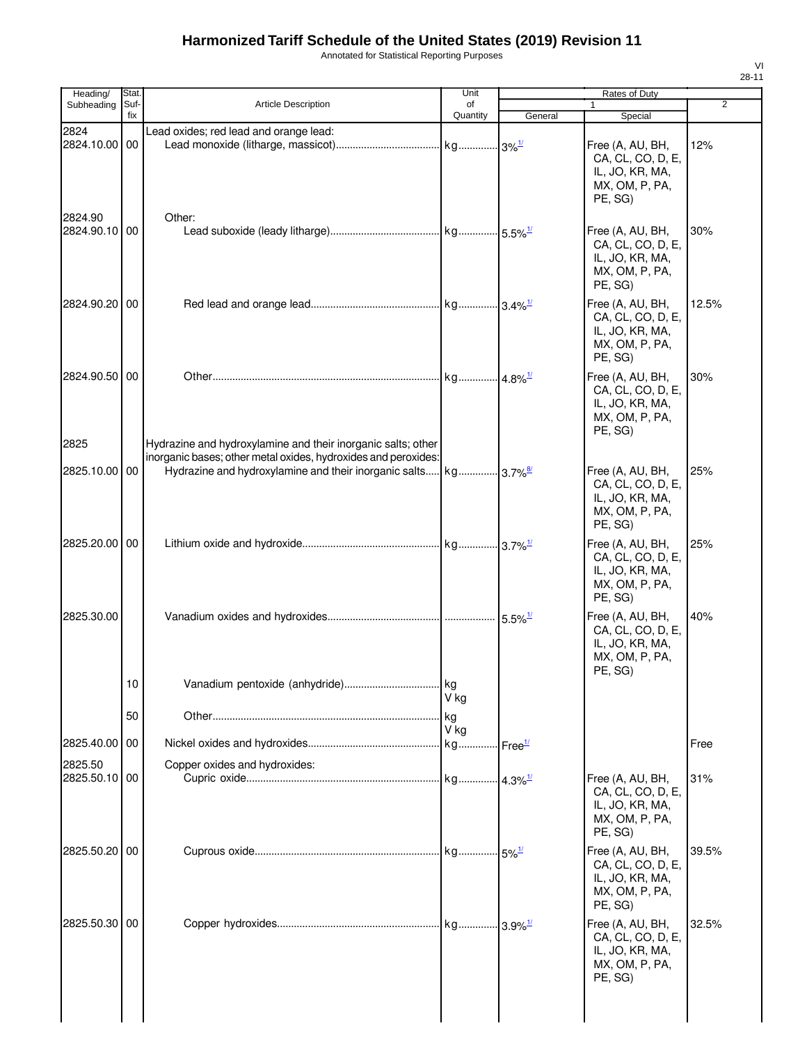Annotated for Statistical Reporting Purposes

| Heading/                 | <b>Stat</b> |                                                                                                                                | Unit                  |                       | Rates of Duty                                                                         |                |
|--------------------------|-------------|--------------------------------------------------------------------------------------------------------------------------------|-----------------------|-----------------------|---------------------------------------------------------------------------------------|----------------|
| Subheading               | Suf-<br>fix | <b>Article Description</b>                                                                                                     | of<br>Quantity        | General               | 1<br>Special                                                                          | $\overline{2}$ |
| 2824<br>2824.10.00 00    |             | Lead oxides; red lead and orange lead:                                                                                         |                       |                       | Free (A, AU, BH,<br>CA, CL, CO, D, E,<br>IL, JO, KR, MA,<br>MX, OM, P, PA,<br>PE, SG) | 12%            |
| 2824.90<br>2824.90.10 00 |             | Other:                                                                                                                         |                       |                       | Free (A, AU, BH,<br>CA, CL, CO, D, E,<br>IL, JO, KR, MA,<br>MX, OM, P, PA,<br>PE, SG) | 30%            |
| 2824.90.20 00            |             |                                                                                                                                |                       |                       | Free (A, AU, BH,<br>CA, CL, CO, D, E,<br>IL, JO, KR, MA,<br>MX, OM, P, PA,<br>PE, SG) | 12.5%          |
| 2824.90.50 00<br>2825    |             | Hydrazine and hydroxylamine and their inorganic salts; other<br>inorganic bases; other metal oxides, hydroxides and peroxides: | kg 4.8% <sup>1/</sup> |                       | Free (A, AU, BH,<br>CA, CL, CO, D, E,<br>IL, JO, KR, MA,<br>MX, OM, P, PA,<br>PE, SG) | 30%            |
| 2825.10.00 00            |             | Hydrazine and hydroxylamine and their inorganic salts kg 3.7% <sup>8/</sup>                                                    |                       |                       | Free (A, AU, BH,<br>CA, CL, CO, D, E,<br>IL, JO, KR, MA,<br>MX, OM, P, PA,<br>PE, SG) | 25%            |
| 2825.20.00 00            |             |                                                                                                                                |                       |                       | Free (A, AU, BH,<br>CA, CL, CO, D, E,<br>IL, JO, KR, MA,<br>MX, OM, P, PA,<br>PE, SG) | 25%            |
| 2825.30.00               |             |                                                                                                                                |                       | $5.5\%$ <sup>1/</sup> | Free (A, AU, BH,<br>CA, CL, CO, D, E,<br>IL, JO, KR, MA,<br>MX, OM, P, PA,<br>PE, SG) | 40%            |
|                          | 10<br>50    | Vanadium pentoxide (anhydride)                                                                                                 | kg<br>V ka<br>. kg    |                       |                                                                                       |                |
| 2825.40.00               | 00          |                                                                                                                                | V kg                  |                       |                                                                                       |                |
|                          |             |                                                                                                                                |                       |                       |                                                                                       | Free           |
| 2825.50<br>2825.50.10 00 |             | Copper oxides and hydroxides:                                                                                                  |                       |                       | Free (A, AU, BH,<br>CA, CL, CO, D, E,<br>IL, JO, KR, MA,<br>MX, OM, P, PA,<br>PE, SG) | 31%            |
| 2825.50.20 00            |             |                                                                                                                                |                       | $-5\%$ <sup>1/</sup>  | Free (A, AU, BH,<br>CA, CL, CO, D, E,<br>IL, JO, KR, MA,<br>MX, OM, P, PA,<br>PE, SG) | 39.5%          |
| 2825.50.30 00            |             |                                                                                                                                |                       | $3.9\%$ <sup>1/</sup> | Free (A, AU, BH,<br>CA, CL, CO, D, E,<br>IL, JO, KR, MA,<br>MX, OM, P, PA,<br>PE, SG) | 32.5%          |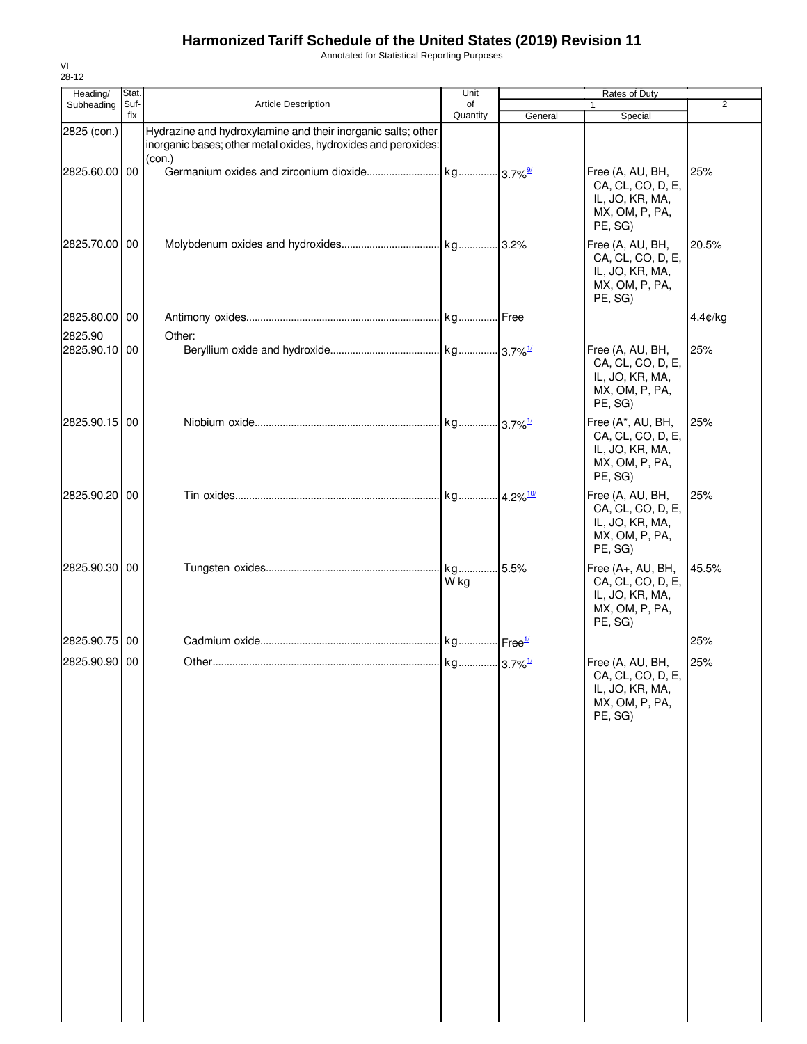Annotated for Statistical Reporting Purposes

| Heading/              | Stat.       |                                                                                                                                          | Unit           |         | Rates of Duty                                                                          |                |
|-----------------------|-------------|------------------------------------------------------------------------------------------------------------------------------------------|----------------|---------|----------------------------------------------------------------------------------------|----------------|
| Subheading            | Suf-<br>fix | Article Description                                                                                                                      | of<br>Quantity | General | $\mathbf{1}$<br>Special                                                                | $\overline{2}$ |
| 2825 (con.)           |             | Hydrazine and hydroxylamine and their inorganic salts; other<br>inorganic bases; other metal oxides, hydroxides and peroxides:<br>(con.) |                |         |                                                                                        |                |
| 2825.60.00 00         |             |                                                                                                                                          |                |         | Free (A, AU, BH,<br>CA, CL, CO, D, E,<br>IL, JO, KR, MA,<br>MX, OM, P, PA,<br>PE, SG)  | 25%            |
| 2825.70.00 00         |             |                                                                                                                                          |                |         | Free (A, AU, BH,<br>CA, CL, CO, D, E,<br>IL, JO, KR, MA,<br>MX, OM, P, PA,<br>PE, SG)  | 20.5%          |
| 2825.80.00 00         |             |                                                                                                                                          |                |         |                                                                                        | 4.4¢/kg        |
| 2825.90<br>2825.90.10 | 00          | Other:                                                                                                                                   |                |         | Free (A, AU, BH,                                                                       | 25%            |
|                       |             |                                                                                                                                          |                |         | CA, CL, CO, D, E,<br>IL, JO, KR, MA,<br>MX, OM, P, PA,<br>PE, SG)                      |                |
| 2825.90.15 00         |             |                                                                                                                                          |                |         | Free (A*, AU, BH,<br>CA, CL, CO, D, E,<br>IL, JO, KR, MA,<br>MX, OM, P, PA,<br>PE, SG) | 25%            |
| 2825.90.20 00         |             |                                                                                                                                          |                |         | Free (A, AU, BH,<br>CA, CL, CO, D, E,<br>IL, JO, KR, MA,<br>MX, OM, P, PA,<br>PE, SG)  | 25%            |
| 2825.90.30 00         |             |                                                                                                                                          | kg<br>W kg     | 5.5%    | Free (A+, AU, BH,<br>CA, CL, CO, D, E,<br>IL, JO, KR, MA,<br>MX, OM, P, PA,<br>PE, SG) | 45.5%          |
| 2825.90.75            | 00          |                                                                                                                                          |                |         |                                                                                        | 25%            |
| 2825.90.90 00         |             |                                                                                                                                          |                |         | Free (A, AU, BH,                                                                       | 25%            |
|                       |             |                                                                                                                                          |                |         | CA, CL, CO, D, E,<br>IL, JO, KR, MA,<br>MX, OM, P, PA,<br>PE, SG)                      |                |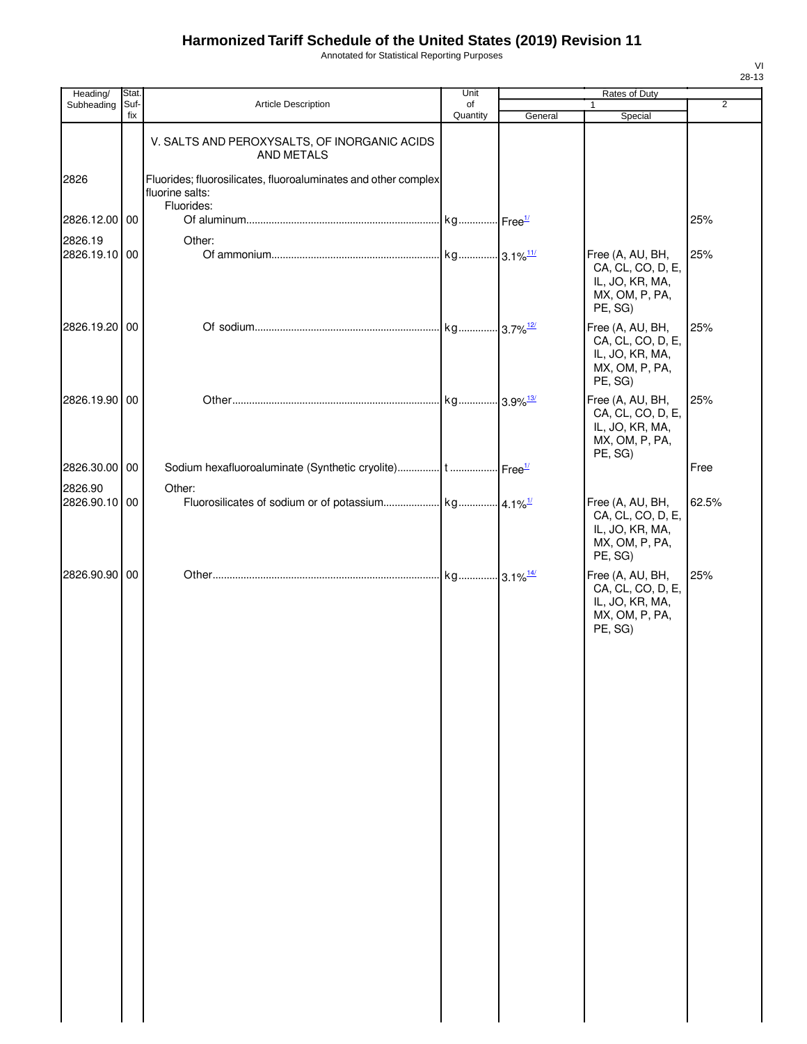Annotated for Statistical Reporting Purposes

| Heading/      | Stat.       |                                                                                                 | Unit           |         | Rates of Duty                                                                         |                |
|---------------|-------------|-------------------------------------------------------------------------------------------------|----------------|---------|---------------------------------------------------------------------------------------|----------------|
| Subheading    | Suf-<br>fix | Article Description                                                                             | of<br>Quantity | General | Special                                                                               | $\overline{2}$ |
|               |             | V. SALTS AND PEROXYSALTS, OF INORGANIC ACIDS<br>AND METALS                                      |                |         |                                                                                       |                |
| 2826          |             | Fluorides; fluorosilicates, fluoroaluminates and other complex<br>fluorine salts:<br>Fluorides: |                |         |                                                                                       |                |
| 2826.12.00 00 |             |                                                                                                 |                |         |                                                                                       | 25%            |
| 2826.19       |             | Other:                                                                                          |                |         |                                                                                       |                |
| 2826.19.10 00 |             |                                                                                                 |                |         | Free (A, AU, BH,<br>CA, CL, CO, D, E,<br>IL, JO, KR, MA,<br>MX, OM, P, PA,<br>PE, SG) | 25%            |
| 2826.19.20 00 |             |                                                                                                 |                |         | Free (A, AU, BH,<br>CA, CL, CO, D, E,<br>IL, JO, KR, MA,<br>MX, OM, P, PA,<br>PE, SG) | 25%            |
| 2826.19.90 00 |             |                                                                                                 |                |         | Free (A, AU, BH,<br>CA, CL, CO, D, E,<br>IL, JO, KR, MA,<br>MX, OM, P, PA,<br>PE, SG) | 25%            |
| 2826.30.00 00 |             |                                                                                                 |                |         |                                                                                       | Free           |
| 2826.90       |             | Other:                                                                                          |                |         |                                                                                       |                |
| 2826.90.10 00 |             |                                                                                                 |                |         | Free (A, AU, BH,<br>CA, CL, CO, D, E,<br>IL, JO, KR, MA,<br>MX, OM, P, PA,<br>PE, SG) | 62.5%          |
| 2826.90.90 00 |             |                                                                                                 |                |         | Free (A, AU, BH,<br>CA, CL, CO, D, E,<br>IL, JO, KR, MA,<br>MX, OM, P, PA,<br>PE, SG) | 25%            |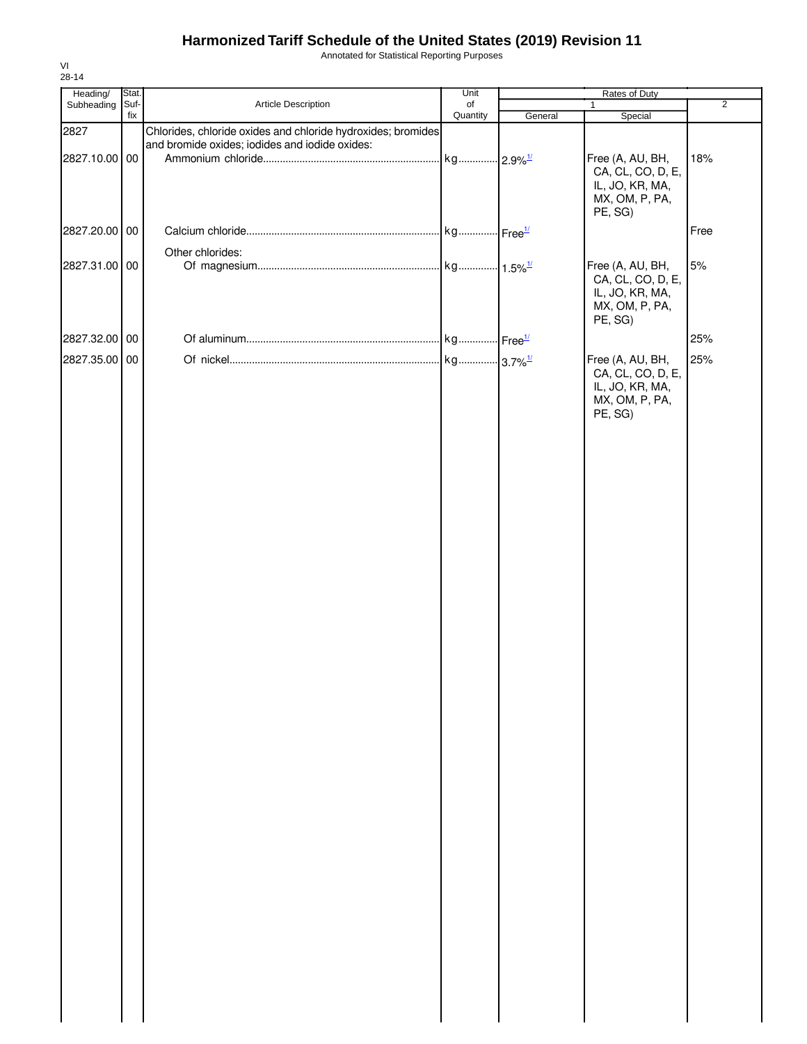Annotated for Statistical Reporting Purposes

| Heading/      | Stat.  |                                                              | Unit     | Rates of Duty |                                      |                |
|---------------|--------|--------------------------------------------------------------|----------|---------------|--------------------------------------|----------------|
| Subheading    | Suf-   | Article Description                                          | of       |               | $\mathbf{1}$                         | $\overline{2}$ |
|               | fix    |                                                              | Quantity | General       | Special                              |                |
| 2827          |        | Chlorides, chloride oxides and chloride hydroxides; bromides |          |               |                                      |                |
|               |        | and bromide oxides; iodides and iodide oxides:               |          |               |                                      |                |
| 2827.10.00    | 00     |                                                              |          |               | Free (A, AU, BH,                     | 18%            |
|               |        |                                                              |          |               | CA, CL, CO, D, E,<br>IL, JO, KR, MA, |                |
|               |        |                                                              |          |               | MX, OM, P, PA,                       |                |
|               |        |                                                              |          |               | PE, SG)                              |                |
|               |        |                                                              |          |               |                                      |                |
| 2827.20.00    | $00\,$ |                                                              |          |               |                                      | Free           |
|               |        | Other chlorides:                                             |          |               |                                      |                |
| 2827.31.00 00 |        |                                                              |          |               | Free (A, AU, BH,                     | $5%$           |
|               |        |                                                              |          |               | CA, CL, CO, D, E,                    |                |
|               |        |                                                              |          |               | IL, JO, KR, MA,                      |                |
|               |        |                                                              |          |               | MX, OM, P, PA,                       |                |
|               |        |                                                              |          |               | PE, SG)                              |                |
| 2827.32.00 00 |        |                                                              |          |               |                                      | 25%            |
|               |        |                                                              |          |               |                                      |                |
| 2827.35.00    | 00     |                                                              |          |               | Free (A, AU, BH,                     | 25%            |
|               |        |                                                              |          |               | CA, CL, CO, D, E,                    |                |
|               |        |                                                              |          |               | IL, JO, KR, MA,                      |                |
|               |        |                                                              |          |               | MX, OM, P, PA,<br>PE, SG)            |                |
|               |        |                                                              |          |               |                                      |                |
|               |        |                                                              |          |               |                                      |                |
|               |        |                                                              |          |               |                                      |                |
|               |        |                                                              |          |               |                                      |                |
|               |        |                                                              |          |               |                                      |                |
|               |        |                                                              |          |               |                                      |                |
|               |        |                                                              |          |               |                                      |                |
|               |        |                                                              |          |               |                                      |                |
|               |        |                                                              |          |               |                                      |                |
|               |        |                                                              |          |               |                                      |                |
|               |        |                                                              |          |               |                                      |                |
|               |        |                                                              |          |               |                                      |                |
|               |        |                                                              |          |               |                                      |                |
|               |        |                                                              |          |               |                                      |                |
|               |        |                                                              |          |               |                                      |                |
|               |        |                                                              |          |               |                                      |                |
|               |        |                                                              |          |               |                                      |                |
|               |        |                                                              |          |               |                                      |                |
|               |        |                                                              |          |               |                                      |                |
|               |        |                                                              |          |               |                                      |                |
|               |        |                                                              |          |               |                                      |                |
|               |        |                                                              |          |               |                                      |                |
|               |        |                                                              |          |               |                                      |                |
|               |        |                                                              |          |               |                                      |                |
|               |        |                                                              |          |               |                                      |                |
|               |        |                                                              |          |               |                                      |                |
|               |        |                                                              |          |               |                                      |                |
|               |        |                                                              |          |               |                                      |                |
|               |        |                                                              |          |               |                                      |                |
|               |        |                                                              |          |               |                                      |                |
|               |        |                                                              |          |               |                                      |                |
|               |        |                                                              |          |               |                                      |                |
|               |        |                                                              |          |               |                                      |                |
|               |        |                                                              |          |               |                                      |                |
|               |        |                                                              |          |               |                                      |                |
|               |        |                                                              |          |               |                                      |                |
|               |        |                                                              |          |               |                                      |                |
|               |        |                                                              |          |               |                                      |                |
|               |        |                                                              |          |               |                                      |                |
|               |        |                                                              |          |               |                                      |                |
|               |        |                                                              |          |               |                                      |                |
|               |        |                                                              |          |               |                                      |                |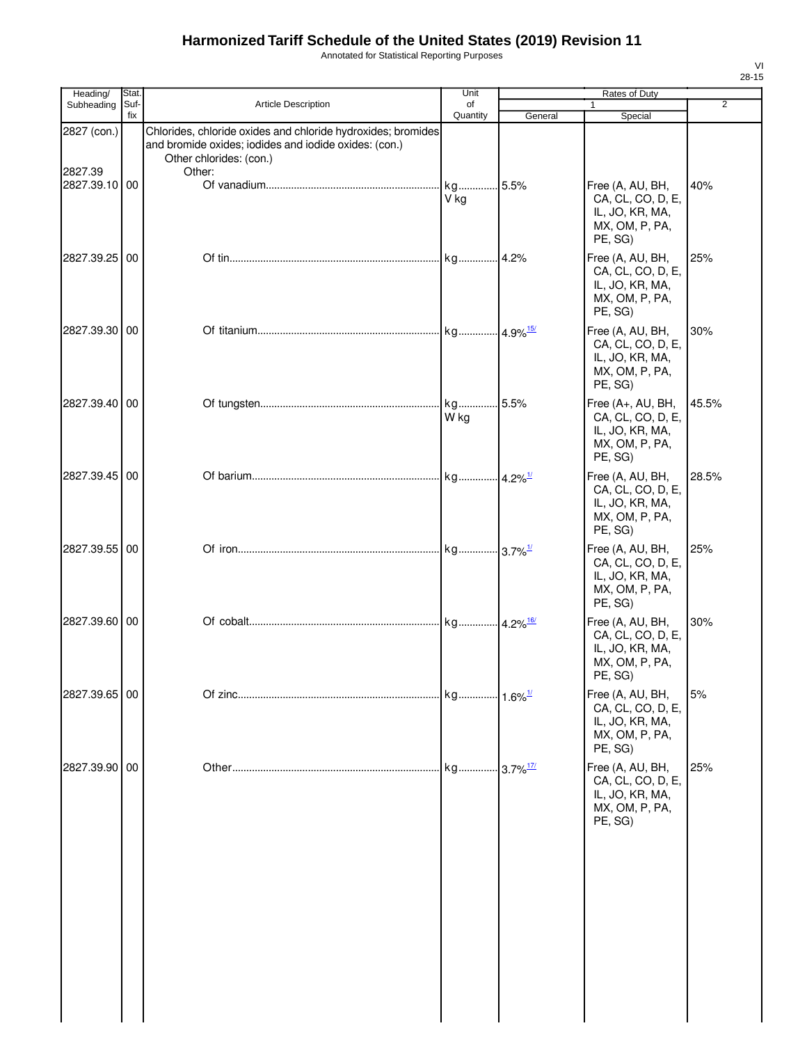Annotated for Statistical Reporting Purposes

| Heading/               | Stat.       |                                                                                                                                                            | Unit                   |         | Rates of Duty                                                                          |                |
|------------------------|-------------|------------------------------------------------------------------------------------------------------------------------------------------------------------|------------------------|---------|----------------------------------------------------------------------------------------|----------------|
| Subheading             | Suf-<br>fix | <b>Article Description</b>                                                                                                                                 | of<br>Quantity         | General | 1<br>Special                                                                           | $\overline{2}$ |
| 2827 (con.)<br>2827.39 |             | Chlorides, chloride oxides and chloride hydroxides; bromides<br>and bromide oxides; iodides and iodide oxides: (con.)<br>Other chlorides: (con.)<br>Other: |                        |         |                                                                                        |                |
| 2827.39.10             | 00          |                                                                                                                                                            | kg<br>V kg             | 5.5%    | Free (A, AU, BH,<br>CA, CL, CO, D, E,<br>IL, JO, KR, MA,<br>MX, OM, P, PA,<br>PE, SG)  | 40%            |
| 2827.39.25             | 00          |                                                                                                                                                            | kg                     | .4.2%   | Free (A, AU, BH,<br>CA, CL, CO, D, E,<br>IL, JO, KR, MA,<br>MX, OM, P, PA,<br>PE, SG)  | 25%            |
| 2827.39.30 00          |             |                                                                                                                                                            |                        |         | Free (A, AU, BH,<br>CA, CL, CO, D, E,<br>IL, JO, KR, MA,<br>MX, OM, P, PA,<br>PE, SG)  | 30%            |
| 2827.39.40 00          |             |                                                                                                                                                            | W kg                   | .5.5%   | Free (A+, AU, BH,<br>CA, CL, CO, D, E,<br>IL, JO, KR, MA,<br>MX, OM, P, PA,<br>PE, SG) | 45.5%          |
| 2827.39.45 00          |             |                                                                                                                                                            |                        |         | Free (A, AU, BH,<br>CA, CL, CO, D, E,<br>IL, JO, KR, MA,<br>MX, OM, P, PA,<br>PE, SG)  | 28.5%          |
| 2827.39.55             | 00          |                                                                                                                                                            |                        |         | Free (A, AU, BH,<br>CA, CL, CO, D, E,<br>IL, JO, KR, MA,<br>MX, OM, P, PA,<br>PE, SG)  | 25%            |
| 2827.39.60 00          |             |                                                                                                                                                            |                        |         | Free (A, AU, BH,<br>CA, CL, CO, D, E,<br>IL, JO, KR, MA,<br>MX, OM, P, PA,<br>PE, SG)  | 30%            |
| 2827.39.65 00          |             |                                                                                                                                                            | kg 1.6% <sup>1/</sup>  |         | Free (A, AU, BH,<br>CA, CL, CO, D, E,<br>IL, JO, KR, MA,<br>MX, OM, P, PA,<br>PE, SG)  | 5%             |
| 2827.39.90             | 00          |                                                                                                                                                            | kg 3.7% <sup>17/</sup> |         | Free (A, AU, BH,<br>CA, CL, CO, D, E,<br>IL, JO, KR, MA,<br>MX, OM, P, PA,<br>PE, SG)  | 25%            |
|                        |             |                                                                                                                                                            |                        |         |                                                                                        |                |
|                        |             |                                                                                                                                                            |                        |         |                                                                                        |                |
|                        |             |                                                                                                                                                            |                        |         |                                                                                        |                |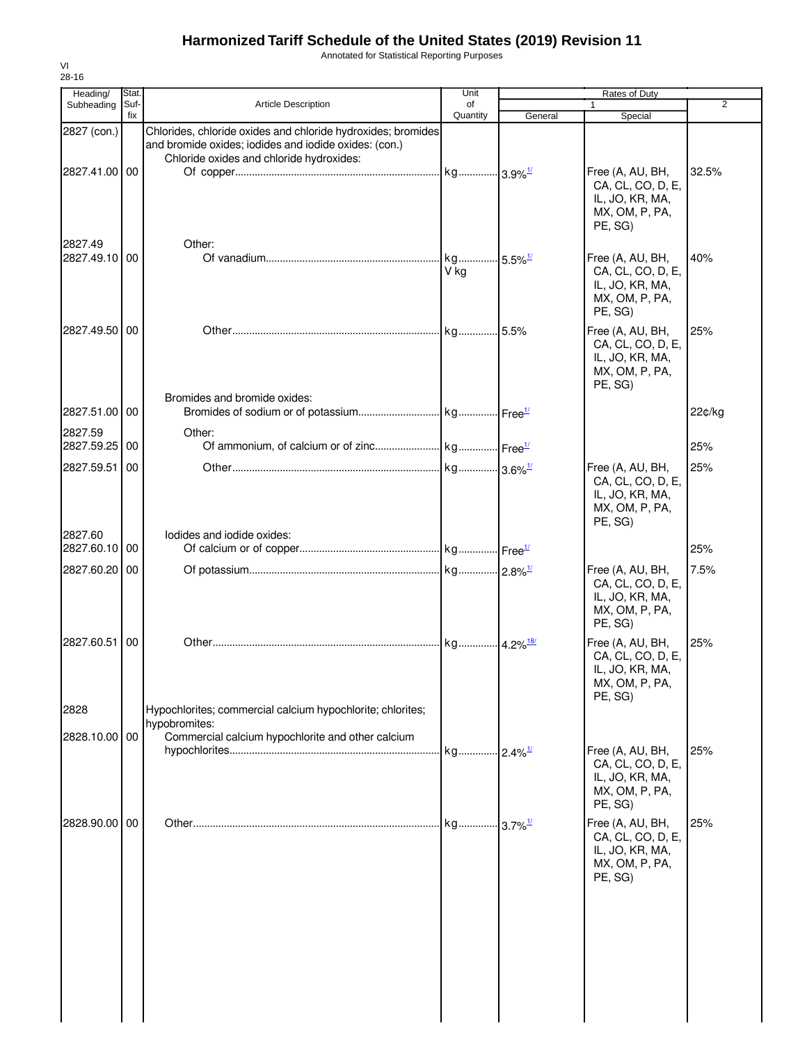Annotated for Statistical Reporting Purposes

| Heading/                 | Stat.       |                                                                                                                                                                   | Unit                          |         | Rates of Duty                                                                         |                |
|--------------------------|-------------|-------------------------------------------------------------------------------------------------------------------------------------------------------------------|-------------------------------|---------|---------------------------------------------------------------------------------------|----------------|
| Subheading               | Suf-<br>fix | <b>Article Description</b>                                                                                                                                        | of<br>Quantity                | General | 1<br>Special                                                                          | $\overline{2}$ |
| 2827 (con.)              |             | Chlorides, chloride oxides and chloride hydroxides; bromides<br>and bromide oxides; iodides and iodide oxides: (con.)<br>Chloride oxides and chloride hydroxides: |                               |         |                                                                                       |                |
| 2827.41.00 00<br>2827.49 |             | Other:                                                                                                                                                            |                               |         | Free (A, AU, BH,<br>CA, CL, CO, D, E,<br>IL, JO, KR, MA,<br>MX, OM, P, PA,<br>PE, SG) | 32.5%          |
| 2827.49.10 00            |             |                                                                                                                                                                   | kg 5.5% <sup>1/</sup><br>V kg |         | Free (A, AU, BH,<br>CA, CL, CO, D, E,<br>IL, JO, KR, MA,<br>MX, OM, P, PA,<br>PE, SG) | 40%            |
| 2827.49.50 00            |             | Bromides and bromide oxides:                                                                                                                                      |                               |         | Free (A, AU, BH,<br>CA, CL, CO, D, E,<br>IL, JO, KR, MA,<br>MX, OM, P, PA,<br>PE, SG) | 25%            |
| 2827.51.00 00            |             |                                                                                                                                                                   |                               |         |                                                                                       | 22¢/kg         |
| 2827.59<br>2827.59.25 00 |             | Other:                                                                                                                                                            |                               |         |                                                                                       | 25%            |
| 2827.59.51               | 00          |                                                                                                                                                                   |                               |         | Free (A, AU, BH,<br>CA, CL, CO, D, E,<br>IL, JO, KR, MA,<br>MX, OM, P, PA,<br>PE, SG) | 25%            |
| 2827.60<br>2827.60.10 00 |             | lodides and iodide oxides:                                                                                                                                        |                               |         |                                                                                       | 25%            |
| 2827.60.20 00            |             |                                                                                                                                                                   |                               |         | Free (A, AU, BH,<br>CA, CL, CO, D, E,<br>IL, JO, KR, MA,<br>MX, OM, P, PA,<br>PE, SG) | 7.5%           |
| 2827.60.51               | 00          |                                                                                                                                                                   |                               |         | Free (A, AU, BH,<br>CA, CL, CO, D, E,<br>IL, JO, KR, MA,<br>MX, OM, P, PA,<br>PE, SG) | 25%            |
| 2828                     |             | Hypochlorites; commercial calcium hypochlorite; chlorites;<br>hypobromites:                                                                                       |                               |         |                                                                                       |                |
| 2828.10.00 00            |             | Commercial calcium hypochlorite and other calcium                                                                                                                 | kg 2.4% <sup>1/</sup>         |         | Free (A, AU, BH,<br>CA, CL, CO, D, E,<br>IL, JO, KR, MA,<br>MX, OM, P, PA,<br>PE, SG) | 25%            |
| 2828.90.00 00            |             |                                                                                                                                                                   |                               |         | Free (A, AU, BH,<br>CA, CL, CO, D, E,<br>IL, JO, KR, MA,<br>MX, OM, P, PA,<br>PE, SG) | 25%            |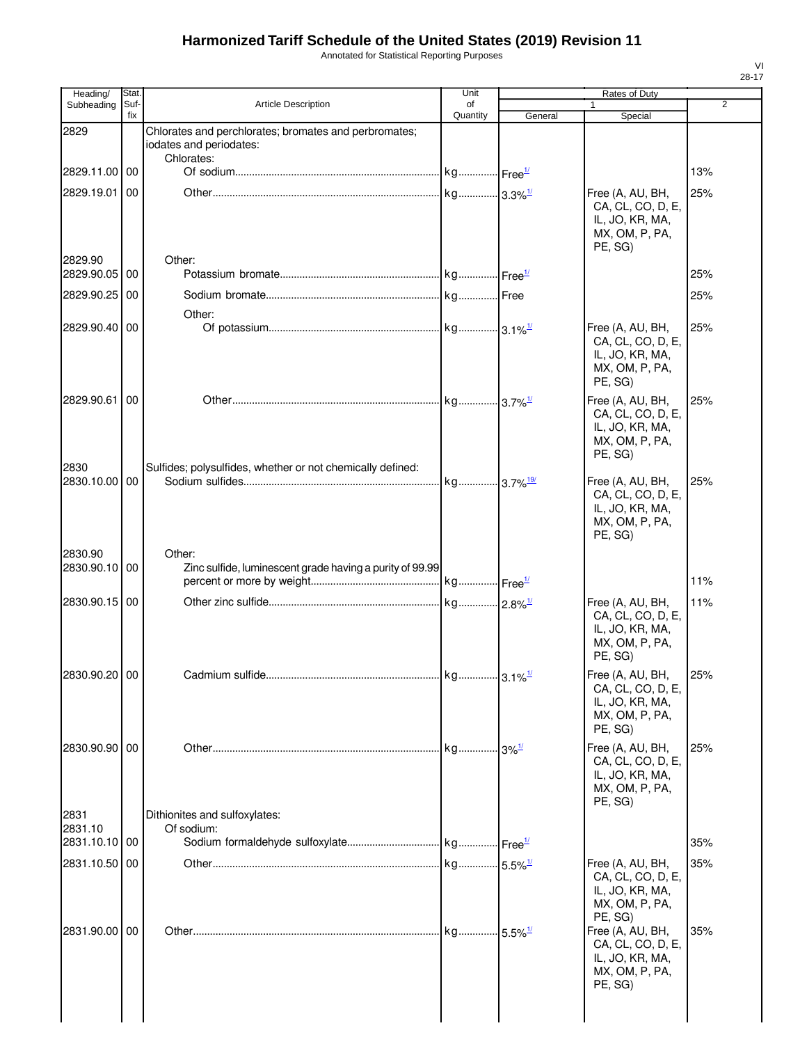Annotated for Statistical Reporting Purposes

| Heading/              | Stat.       |                                                                                  | Unit                    |                        | Rates of Duty                                                                         |     |
|-----------------------|-------------|----------------------------------------------------------------------------------|-------------------------|------------------------|---------------------------------------------------------------------------------------|-----|
| Subheading            | Suf-<br>fix | <b>Article Description</b>                                                       | of<br>Quantity          | General                | Special                                                                               | 2   |
| 2829                  |             | Chlorates and perchlorates; bromates and perbromates;<br>iodates and periodates: |                         |                        |                                                                                       |     |
| 2829.11.00 00         |             | Chlorates:                                                                       | . kg Free <sup>1/</sup> |                        |                                                                                       | 13% |
| 2829.19.01            | 00          |                                                                                  |                         |                        | Free (A, AU, BH,                                                                      | 25% |
| 2829.90               |             | Other:                                                                           |                         |                        | CA, CL, CO, D, E,<br>IL, JO, KR, MA,<br>MX, OM, P, PA,<br>PE, SG)                     |     |
| 2829.90.05 00         |             |                                                                                  |                         |                        |                                                                                       | 25% |
| 2829.90.25            | 00          |                                                                                  |                         |                        |                                                                                       | 25% |
| 2829.90.40 00         |             | Other:                                                                           |                         |                        | Free (A, AU, BH,                                                                      | 25% |
|                       |             |                                                                                  |                         |                        | CA, CL, CO, D, E,<br>IL, JO, KR, MA,<br>MX, OM, P, PA,<br>PE, SG)                     |     |
| 2829.90.61 00         |             |                                                                                  | kg 3.7% <sup>1/</sup>   |                        | Free (A, AU, BH,<br>CA, CL, CO, D, E,<br>IL, JO, KR, MA,<br>MX, OM, P, PA,<br>PE, SG) | 25% |
| 2830<br>2830.10.00 00 |             | Sulfides; polysulfides, whether or not chemically defined:                       | kg 3.7% <sup>19/</sup>  |                        | Free (A, AU, BH,<br>CA, CL, CO, D, E,<br>IL, JO, KR, MA,<br>MX, OM, P, PA,<br>PE, SG) | 25% |
| 2830.90               |             | Other:                                                                           |                         |                        |                                                                                       |     |
| 2830.90.10 00         |             | Zinc sulfide, luminescent grade having a purity of 99.99                         |                         |                        |                                                                                       | 11% |
| 2830.90.15 00         |             |                                                                                  |                         |                        | Free (A, AU, BH,<br>CA, CL, CO, D, E,<br>IL, JO, KR, MA,<br>MX, OM, P, PA,<br>PE, SG) | 11% |
| 2830.90.20 00         |             |                                                                                  |                         |                        | Free (A, AU, BH,<br>CA, CL, CO, D, E,<br>IL, JO, KR, MA,<br>MX, OM, P, PA,<br>PE, SG) | 25% |
| 2830.90.90 00         |             |                                                                                  | . kg 3% <sup>1/</sup>   |                        | Free (A, AU, BH,<br>CA, CL, CO, D, E,<br>IL, JO, KR, MA,<br>MX, OM, P, PA,<br>PE, SG) | 25% |
| 2831<br>2831.10       |             | Dithionites and sulfoxylates:<br>Of sodium:                                      |                         |                        |                                                                                       |     |
| 2831.10.10 00         |             |                                                                                  |                         |                        |                                                                                       | 35% |
| 2831.10.50 00         |             |                                                                                  |                         |                        | Free (A, AU, BH,<br>CA, CL, CO, D, E,<br>IL, JO, KR, MA,<br>MX, OM, P, PA,<br>PE, SG) | 35% |
| 2831.90.00 00         |             |                                                                                  | kg                      | $-5.5\%$ <sup>1/</sup> | Free (A, AU, BH,<br>CA, CL, CO, D, E,<br>IL, JO, KR, MA,<br>MX, OM, P, PA,<br>PE, SG) | 35% |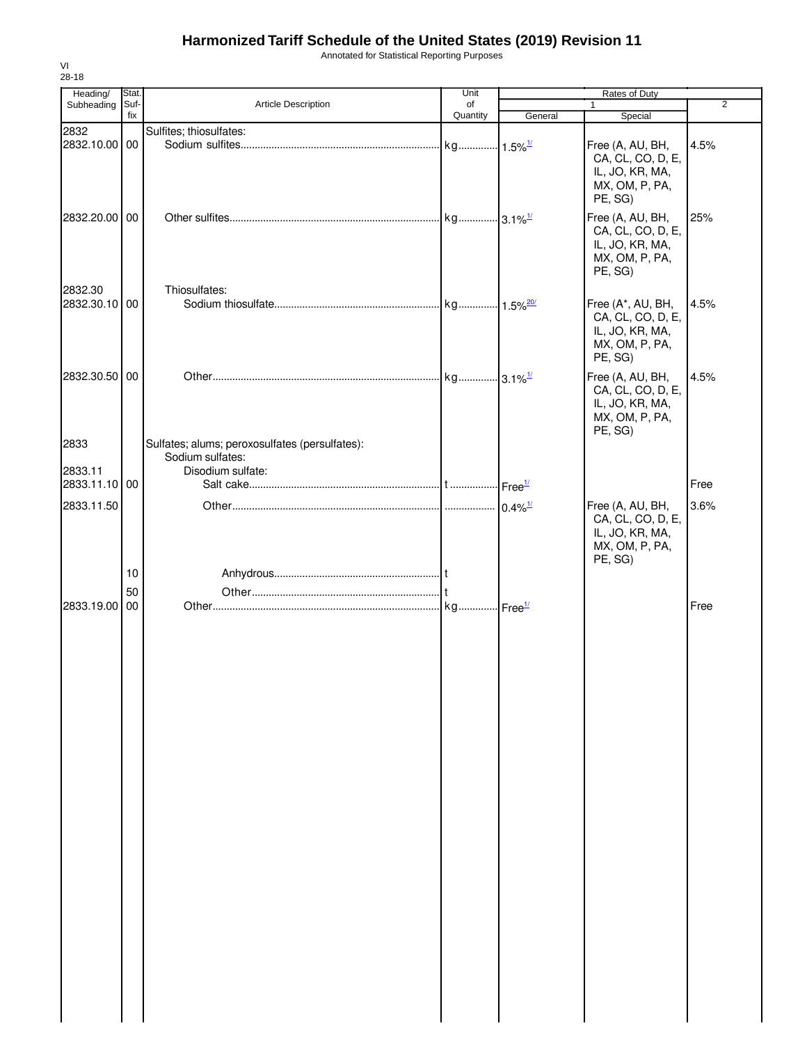Annotated for Statistical Reporting Purposes

| 28-18                    |               |                                                                                         |            |         |                                                                                        |                |  |
|--------------------------|---------------|-----------------------------------------------------------------------------------------|------------|---------|----------------------------------------------------------------------------------------|----------------|--|
| Heading/<br>Subheading   | Stat.<br>Suf- | Article Description                                                                     | Unit<br>of |         | Rates of Duty<br>$\mathbf{1}$                                                          | $\overline{2}$ |  |
|                          | fix           |                                                                                         | Quantity   | General | Special                                                                                |                |  |
| 2832<br>2832.10.00 00    |               | Sulfites; thiosulfates:                                                                 |            |         | Free (A, AU, BH,<br>CA, CL, CO, D, E,<br>IL, JO, KR, MA,<br>MX, OM, P, PA,<br>PE, SG)  | 4.5%           |  |
| 2832.20.00 00            |               |                                                                                         |            |         | Free (A, AU, BH,<br>CA, CL, CO, D, E,<br>IL, JO, KR, MA,<br>MX, OM, P, PA,<br>PE, SG)  | 25%            |  |
| 2832.30<br>2832.30.10 00 |               | Thiosulfates:                                                                           |            |         | Free (A*, AU, BH,<br>CA, CL, CO, D, E,<br>IL, JO, KR, MA,<br>MX, OM, P, PA,<br>PE, SG) | 4.5%           |  |
| 2832.30.50 00            |               |                                                                                         |            |         | Free (A, AU, BH,<br>CA, CL, CO, D, E,<br>IL, JO, KR, MA,<br>MX, OM, P, PA,<br>PE, SG)  | 4.5%           |  |
| 2833<br>2833.11          |               | Sulfates; alums; peroxosulfates (persulfates):<br>Sodium sulfates:<br>Disodium sulfate: |            |         |                                                                                        |                |  |
| 2833.11.10 00            |               |                                                                                         |            |         |                                                                                        | Free           |  |
| 2833.11.50               | 10            |                                                                                         |            |         | Free (A, AU, BH,<br>CA, CL, CO, D, E,<br>IL, JO, KR, MA,<br>MX, OM, P, PA,<br>PE, SG)  | 3.6%           |  |
| 2833.19.00 00            | 50            |                                                                                         |            |         |                                                                                        | Free           |  |
|                          |               |                                                                                         |            |         |                                                                                        |                |  |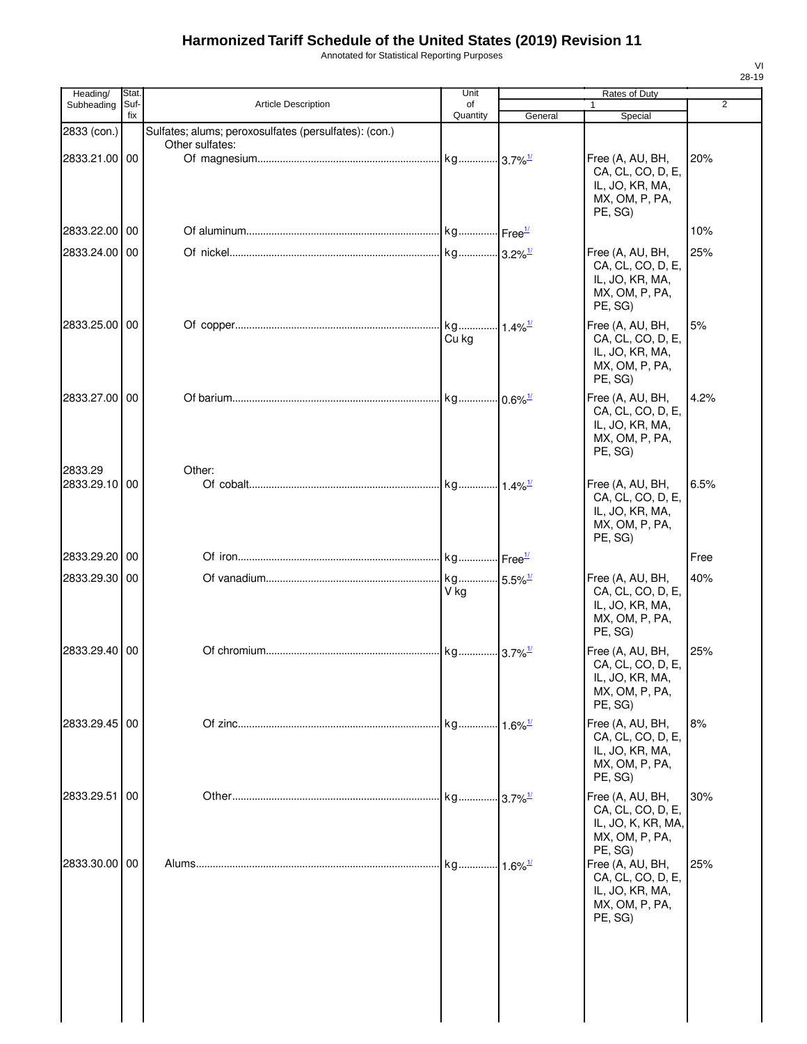Annotated for Statistical Reporting Purposes

| Heading/                 | <b>Stat</b> |                                                       | Unit                    |                               | Rates of Duty                                                                            |                |
|--------------------------|-------------|-------------------------------------------------------|-------------------------|-------------------------------|------------------------------------------------------------------------------------------|----------------|
| Subheading               | Suf-<br>fix | Article Description                                   | οf<br>Quantity          | General                       | 1<br>Special                                                                             | $\overline{2}$ |
| 2833 (con.)              |             | Sulfates; alums; peroxosulfates (persulfates): (con.) |                         |                               |                                                                                          |                |
|                          |             | Other sulfates:                                       |                         |                               |                                                                                          |                |
| 2833.21.00 00            |             |                                                       |                         |                               | Free (A, AU, BH,<br>CA, CL, CO, D, E,<br>IL, JO, KR, MA,<br>MX, OM, P, PA,<br>PE, SG)    | 20%            |
| 2833.22.00               | 00          |                                                       |                         |                               |                                                                                          | 10%            |
| 2833.24.00 00            |             |                                                       |                         |                               | Free (A, AU, BH,                                                                         | 25%            |
|                          |             |                                                       |                         |                               | CA, CL, CO, D, E,<br>IL, JO, KR, MA,<br>MX, OM, P, PA,<br>PE, SG)                        |                |
| 2833.25.00 00            |             |                                                       | Cu kg                   |                               | Free (A, AU, BH,<br>CA, CL, CO, D, E,<br>IL, JO, KR, MA,<br>MX, OM, P, PA,<br>PE, SG)    | 5%             |
| 2833.27.00 00            |             |                                                       | . kg 0.6% <sup>1/</sup> |                               | Free (A, AU, BH,<br>CA, CL, CO, D, E,<br>IL, JO, KR, MA,<br>MX, OM, P, PA,<br>PE, SG)    | 4.2%           |
| 2833.29<br>2833.29.10 00 |             | Other:                                                |                         |                               | Free (A, AU, BH,<br>CA, CL, CO, D, E,<br>IL, JO, KR, MA,<br>MX, OM, P, PA,<br>PE, SG)    | 6.5%           |
| 2833.29.20 00            |             |                                                       |                         |                               |                                                                                          | Free           |
| 2833.29.30 00            |             |                                                       | V ka                    |                               | Free (A, AU, BH,<br>CA, CL, CO, D, E,<br>IL, JO, KR, MA,<br>MX, OM, P, PA,<br>PE, SG)    | 40%            |
| 2833.29.40 00            |             |                                                       | kg 3.7% <sup>1/</sup>   |                               | Free (A, AU, BH,<br>CA, CL, CO, D, E,<br>IL, JO, KR, MA,<br>MX, OM, P, PA,<br>PE, SG)    | 25%            |
| 2833.29.45 00            |             |                                                       | kg                      | $-1.6\%$ <sup>1/</sup>        | Free (A, AU, BH,<br>CA, CL, CO, D, E,<br>IL, JO, KR, MA,<br>MX, OM, P, PA,<br>PE, SG)    | 8%             |
| 2833.29.51               | 00          |                                                       |                         | $-3.7\%$ <sup>1/</sup>        | Free (A, AU, BH,<br>CA, CL, CO, D, E,<br>IL, JO, K, KR, MA,<br>MX, OM, P, PA,<br>PE, SG) | 30%            |
| 2833.30.00 00            |             |                                                       | . kg                    | $\cdot$ 1.6% $^{\frac{1}{2}}$ | Free (A, AU, BH,<br>CA, CL, CO, D, E,<br>IL, JO, KR, MA,<br>MX, OM, P, PA,<br>PE, SG)    | 25%            |
|                          |             |                                                       |                         |                               |                                                                                          |                |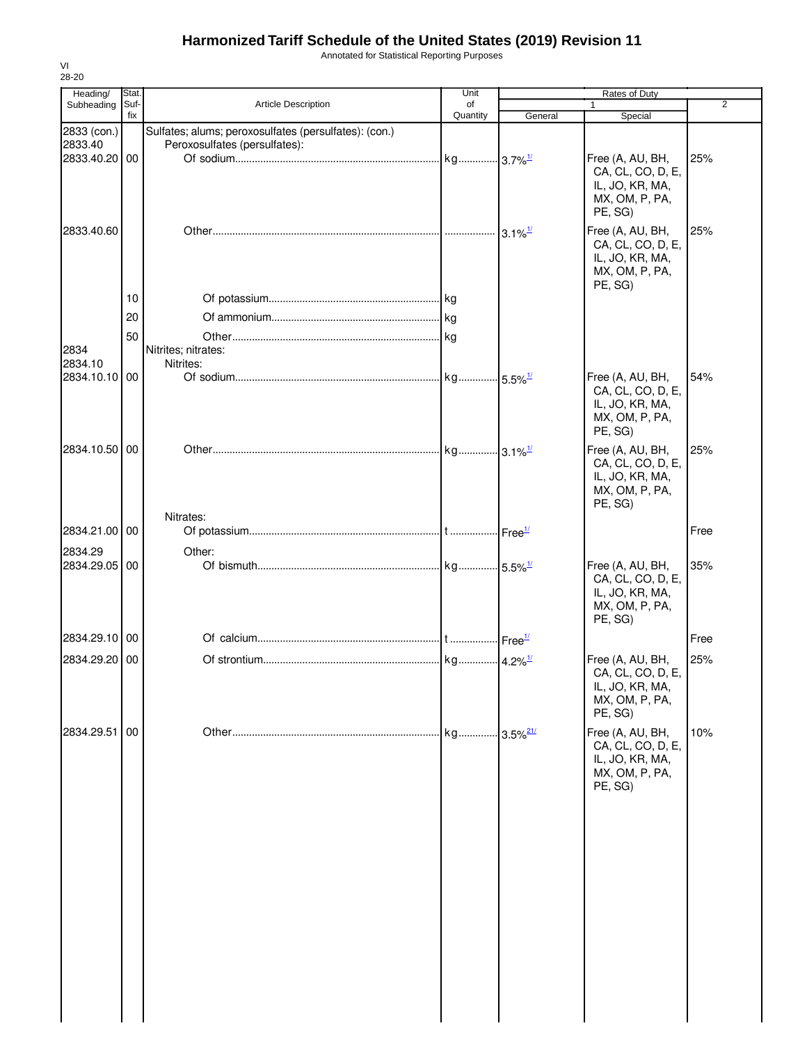Annotated for Statistical Reporting Purposes

| 28-20                    |             |                                                                                        |                |                         |                                                                                       |                |
|--------------------------|-------------|----------------------------------------------------------------------------------------|----------------|-------------------------|---------------------------------------------------------------------------------------|----------------|
| Heading/                 | <b>Stat</b> |                                                                                        | Unit           |                         | Rates of Duty                                                                         | $\overline{2}$ |
| Subheading               | Suf-<br>fix | <b>Article Description</b>                                                             | of<br>Quantity | General                 | Special                                                                               |                |
| 2833 (con.)<br>2833.40   |             | Sulfates; alums; peroxosulfates (persulfates): (con.)<br>Peroxosulfates (persulfates): |                |                         |                                                                                       |                |
| 2833.40.20 00            |             |                                                                                        |                |                         | Free (A, AU, BH,<br>CA, CL, CO, D, E,<br>IL, JO, KR, MA,<br>MX, OM, P, PA,<br>PE, SG) | 25%            |
| 2833.40.60               |             |                                                                                        |                | $3.1\%$ <sup>1/</sup>   | Free (A, AU, BH,<br>CA, CL, CO, D, E,<br>IL, JO, KR, MA,<br>MX, OM, P, PA,<br>PE, SG) | 25%            |
|                          | 10          |                                                                                        |                |                         |                                                                                       |                |
|                          | 20          |                                                                                        |                |                         |                                                                                       |                |
|                          | 50          |                                                                                        |                |                         |                                                                                       |                |
| 2834<br>2834.10          |             | Nitrites; nitrates:<br>Nitrites:                                                       |                |                         |                                                                                       |                |
| 2834.10.10 00            |             |                                                                                        |                |                         | Free (A, AU, BH,<br>CA, CL, CO, D, E,<br>IL, JO, KR, MA,<br>MX, OM, P, PA,<br>PE, SG) | 54%            |
| 2834.10.50 00            |             |                                                                                        |                |                         | Free (A, AU, BH,<br>CA, CL, CO, D, E,<br>IL, JO, KR, MA,<br>MX, OM, P, PA,<br>PE, SG) | 25%            |
|                          |             | Nitrates:                                                                              |                |                         |                                                                                       |                |
| 2834.21.00 00            |             |                                                                                        |                |                         |                                                                                       | Free           |
| 2834.29<br>2834.29.05 00 |             | Other:                                                                                 |                |                         | Free (A, AU, BH,<br>CA, CL, CO, D, E,<br>IL, JO, KR, MA,<br>MX, OM, P, PA,            | 35%            |
| 2834.29.10 00            |             |                                                                                        |                |                         | PE, SG)                                                                               | Free           |
| 2834.29.20 00            |             |                                                                                        |                |                         | Free (A, AU, BH,                                                                      | 25%            |
|                          |             |                                                                                        |                |                         | CA, CL, CO, D, E,<br>IL, JO, KR, MA,<br>MX, OM, P, PA,<br>PE, SG)                     |                |
| 2834.29.51 00            |             |                                                                                        | kg             | $-3.5\%$ <sup>21/</sup> | Free (A, AU, BH,<br>CA, CL, CO, D, E,<br>IL, JO, KR, MA,<br>MX, OM, P, PA,<br>PE, SG) | 10%            |
|                          |             |                                                                                        |                |                         |                                                                                       |                |

VI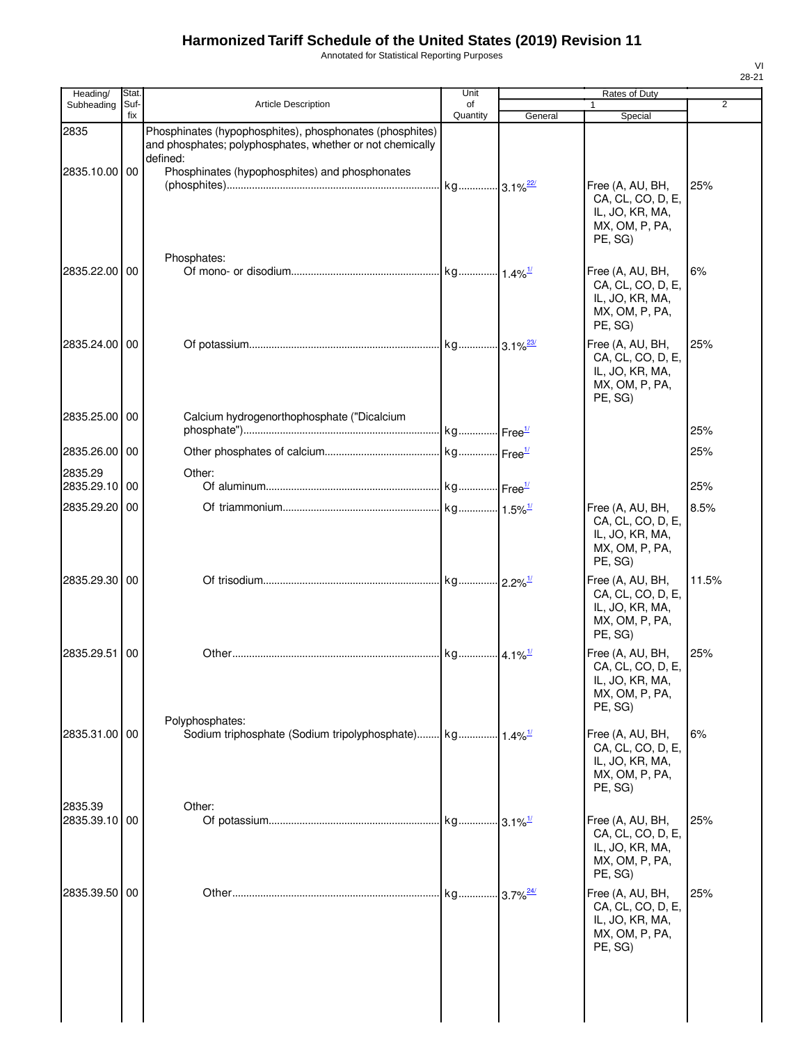Annotated for Statistical Reporting Purposes

| Heading/                 | Stat.       |                                                                                                                                   | Unit           |                        | Rates of Duty                                                                         |       |
|--------------------------|-------------|-----------------------------------------------------------------------------------------------------------------------------------|----------------|------------------------|---------------------------------------------------------------------------------------|-------|
| Subheading               | Suf-<br>fix | <b>Article Description</b>                                                                                                        | of<br>Quantity | General                | $\mathbf{1}$<br>Special                                                               | 2     |
| 2835                     |             | Phosphinates (hypophosphites), phosphonates (phosphites)<br>and phosphates; polyphosphates, whether or not chemically<br>defined: |                |                        |                                                                                       |       |
| 2835.10.00 00            |             | Phosphinates (hypophosphites) and phosphonates                                                                                    |                |                        | Free (A, AU, BH,<br>CA, CL, CO, D, E,<br>IL, JO, KR, MA,<br>MX, OM, P, PA,<br>PE, SG) | 25%   |
| 2835.22.00 00            |             | Phosphates:                                                                                                                       |                |                        | Free (A, AU, BH,<br>CA, CL, CO, D, E,<br>IL, JO, KR, MA,<br>MX, OM, P, PA,<br>PE, SG) | 6%    |
| 2835.24.00 00            |             |                                                                                                                                   |                |                        | Free (A, AU, BH,<br>CA, CL, CO, D, E,<br>IL, JO, KR, MA,<br>MX, OM, P, PA,<br>PE, SG) | 25%   |
| 2835.25.00 00            |             | Calcium hydrogenorthophosphate ("Dicalcium                                                                                        |                |                        |                                                                                       | 25%   |
| 2835.26.00 00            |             |                                                                                                                                   |                |                        |                                                                                       | 25%   |
| 2835.29<br>2835.29.10 00 |             | Other:                                                                                                                            |                |                        |                                                                                       | 25%   |
| 2835.29.20               | 00          |                                                                                                                                   |                |                        | Free (A, AU, BH,<br>CA, CL, CO, D, E,<br>IL, JO, KR, MA,<br>MX, OM, P, PA,<br>PE, SG) | 8.5%  |
| 2835.29.30 00            |             |                                                                                                                                   |                |                        | Free (A, AU, BH,<br>CA, CL, CO, D, E,<br>IL, JO, KR, MA,<br>MX, OM, P, PA,<br>PE, SG) | 11.5% |
| 2835.29.51               | 00          |                                                                                                                                   |                |                        | Free (A, AU, BH,<br>CA, CL, CO, D, E,<br>IL, JO, KR, MA,<br>MX, OM, P, PA,<br>PE, SG) | 25%   |
| 2835.31.00 00            |             | Polyphosphates:                                                                                                                   |                |                        | Free (A, AU, BH,<br>CA, CL, CO, D, E,<br>IL, JO, KR, MA,<br>MX, OM, P, PA,<br>PE, SG) | 6%    |
| 2835.39<br>2835.39.10 00 |             | Other:                                                                                                                            |                |                        | Free (A, AU, BH,<br>CA, CL, CO, D, E,<br>IL, JO, KR, MA,<br>MX, OM, P, PA,<br>PE, SG) | 25%   |
| 2835.39.50               | 00          |                                                                                                                                   |                | $$ 3.7% $\frac{24}{1}$ | Free (A, AU, BH,<br>CA, CL, CO, D, E,<br>IL, JO, KR, MA,<br>MX, OM, P, PA,<br>PE, SG) | 25%   |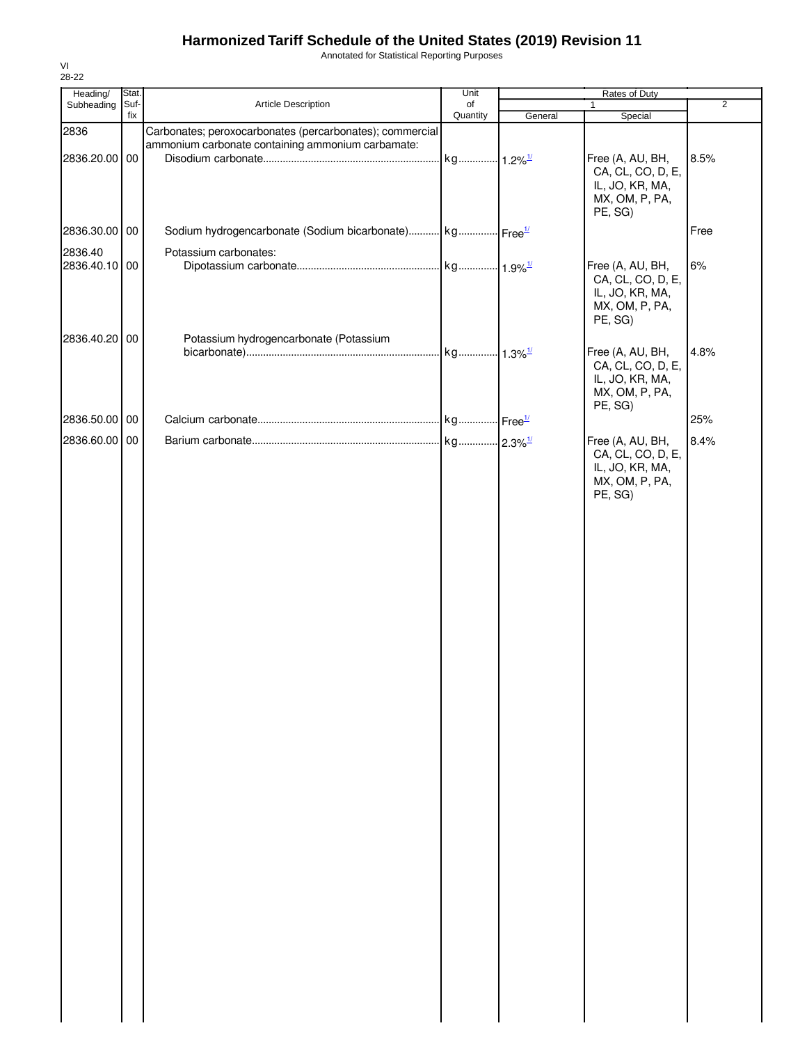Annotated for Statistical Reporting Purposes

| Heading/              | Stat. |                                                                                                               | Unit                  | Rates of Duty |                                                                                       |                |  |
|-----------------------|-------|---------------------------------------------------------------------------------------------------------------|-----------------------|---------------|---------------------------------------------------------------------------------------|----------------|--|
| Subheading            | Suf-  | Article Description                                                                                           | of                    |               | $\mathbf{1}$                                                                          | $\overline{2}$ |  |
|                       | fix   |                                                                                                               | Quantity              | General       | Special                                                                               |                |  |
| 2836<br>2836.20.00 00 |       | Carbonates; peroxocarbonates (percarbonates); commercial<br>ammonium carbonate containing ammonium carbamate: | kg 1.2% <sup>1/</sup> |               | Free (A, AU, BH,<br>CA, CL, CO, D, E,<br>IL, JO, KR, MA,<br>MX, OM, P, PA,            | 8.5%           |  |
| 2836.30.00 00         |       | Sodium hydrogencarbonate (Sodium bicarbonate) kg Free <sup>1/</sup>                                           |                       |               | PE, SG)                                                                               | Free           |  |
| 2836.40               |       | Potassium carbonates:                                                                                         |                       |               |                                                                                       |                |  |
| 2836.40.10 00         |       |                                                                                                               |                       |               | Free (A, AU, BH,<br>CA, CL, CO, D, E,<br>IL, JO, KR, MA,<br>MX, OM, P, PA,<br>PE, SG) | 6%             |  |
| 2836.40.20 00         |       | Potassium hydrogencarbonate (Potassium                                                                        |                       |               |                                                                                       |                |  |
|                       |       |                                                                                                               |                       |               | Free (A, AU, BH,<br>CA, CL, CO, D, E,<br>IL, JO, KR, MA,<br>MX, OM, P, PA,<br>PE, SG) | 4.8%           |  |
| 2836.50.00 00         |       |                                                                                                               |                       |               |                                                                                       | 25%            |  |
| 2836.60.00 00         |       |                                                                                                               |                       |               | Free (A, AU, BH,<br>CA, CL, CO, D, E,<br>IL, JO, KR, MA,<br>MX, OM, P, PA,<br>PE, SG) | 8.4%           |  |
|                       |       |                                                                                                               |                       |               |                                                                                       |                |  |
|                       |       |                                                                                                               |                       |               |                                                                                       |                |  |
|                       |       |                                                                                                               |                       |               |                                                                                       |                |  |
|                       |       |                                                                                                               |                       |               |                                                                                       |                |  |
|                       |       |                                                                                                               |                       |               |                                                                                       |                |  |
|                       |       |                                                                                                               |                       |               |                                                                                       |                |  |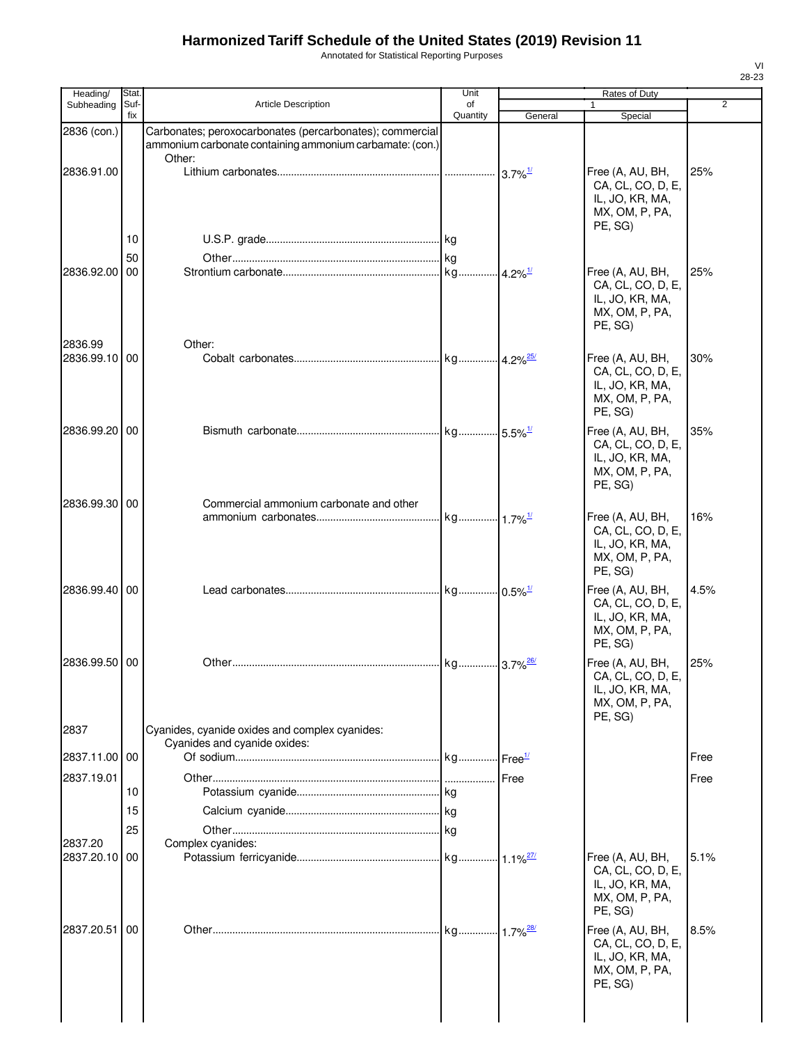Annotated for Statistical Reporting Purposes

| Heading/              | Stat.       |                                                                                                                      | Unit           |         | Rates of Duty                                                                         |                |
|-----------------------|-------------|----------------------------------------------------------------------------------------------------------------------|----------------|---------|---------------------------------------------------------------------------------------|----------------|
| Subheading            | Suf-<br>fix | <b>Article Description</b>                                                                                           | of<br>Quantity |         | $\mathbf{1}$                                                                          | $\overline{2}$ |
| 2836 (con.)           |             | Carbonates; peroxocarbonates (percarbonates); commercial<br>ammonium carbonate containing ammonium carbamate: (con.) |                | General | Special                                                                               |                |
| 2836.91.00            |             | Other:                                                                                                               |                |         | Free (A, AU, BH,<br>CA, CL, CO, D, E,<br>IL, JO, KR, MA,<br>MX, OM, P, PA,<br>PE, SG) | 25%            |
|                       | 10          |                                                                                                                      |                |         |                                                                                       |                |
| 2836.92.00            | 50<br>00    |                                                                                                                      |                |         | Free (A, AU, BH,<br>CA, CL, CO, D, E,<br>IL, JO, KR, MA,<br>MX, OM, P, PA,<br>PE, SG) | 25%            |
| 2836.99<br>2836.99.10 | 00          | Other:                                                                                                               |                |         | Free (A, AU, BH,<br>CA, CL, CO, D, E,<br>IL, JO, KR, MA,<br>MX, OM, P, PA,<br>PE, SG) | 30%            |
| 2836.99.20            | 00          |                                                                                                                      |                |         | Free (A, AU, BH,<br>CA, CL, CO, D, E,<br>IL, JO, KR, MA,<br>MX, OM, P, PA,<br>PE, SG) | 35%            |
| 2836.99.30            | 00          | Commercial ammonium carbonate and other                                                                              |                |         | Free (A, AU, BH,<br>CA, CL, CO, D, E,<br>IL, JO, KR, MA,<br>MX, OM, P, PA,<br>PE, SG) | 16%            |
| 2836.99.40            | 00          |                                                                                                                      |                |         | Free (A, AU, BH,<br>CA, CL, CO, D, E,<br>IL, JO, KR, MA,<br>MX, OM, P, PA,<br>PE. SG) | 4.5%           |
| 2836.99.50            | 00          |                                                                                                                      |                |         | Free (A, AU, BH,<br>CA, CL, CO, D, E,<br>IL, JO, KR, MA,<br>MX, OM, P, PA,<br>PE, SG) | 25%            |
| 2837                  |             | Cyanides, cyanide oxides and complex cyanides:<br>Cyanides and cyanide oxides:                                       |                |         |                                                                                       |                |
| 2837.11.00            | 00          |                                                                                                                      |                |         |                                                                                       | Free           |
| 2837.19.01            | 10          |                                                                                                                      |                |         |                                                                                       | Free           |
|                       | 15          |                                                                                                                      |                |         |                                                                                       |                |
|                       | 25          |                                                                                                                      |                |         |                                                                                       |                |
| 2837.20<br>2837.20.10 | 00          | Complex cyanides:                                                                                                    |                |         | Free (A, AU, BH,<br>CA, CL, CO, D, E,<br>IL, JO, KR, MA,<br>MX, OM, P, PA,<br>PE, SG) | 5.1%           |
| 2837.20.51            | 00          |                                                                                                                      |                |         | Free (A, AU, BH,<br>CA, CL, CO, D, E,<br>IL, JO, KR, MA,<br>MX, OM, P, PA,<br>PE, SG) | 8.5%           |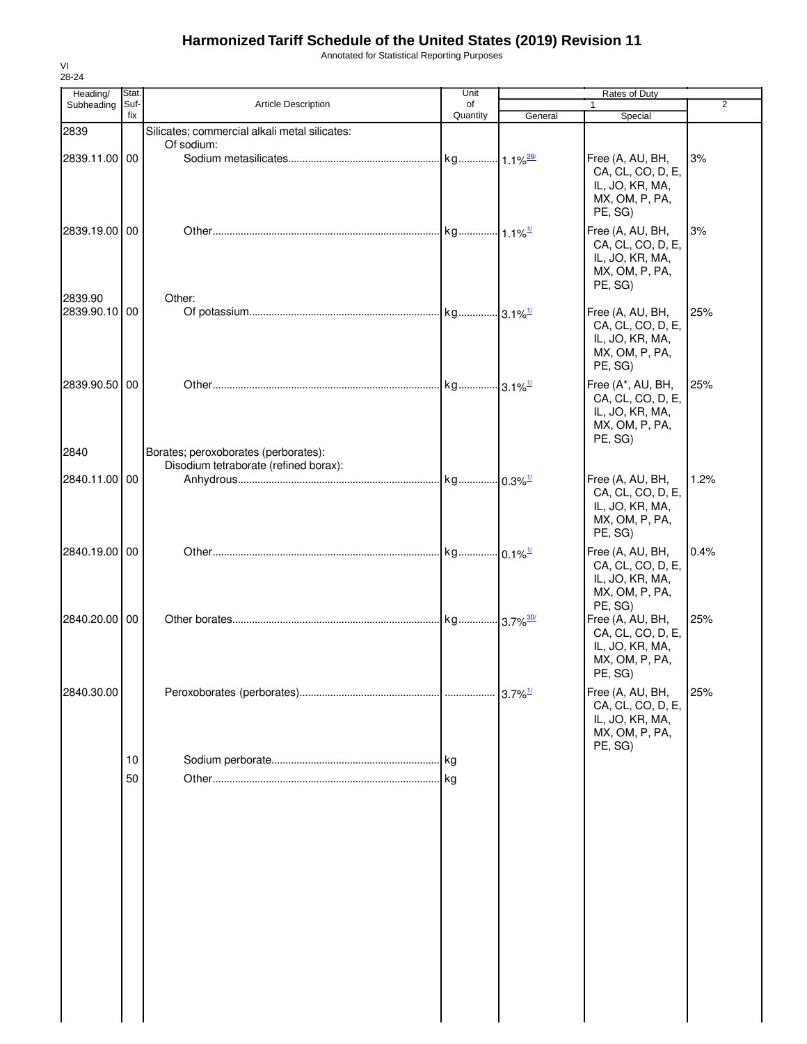Annotated for Statistical Reporting Purposes

| Heading/                 | Stat.       |                                               | Unit                   |                       | Rates of Duty                                                                          | $\overline{2}$ |
|--------------------------|-------------|-----------------------------------------------|------------------------|-----------------------|----------------------------------------------------------------------------------------|----------------|
| Subheading               | Suf-<br>fix | Article Description                           | of<br>Quantity         | General               | Special                                                                                |                |
| 2839                     |             | Silicates; commercial alkali metal silicates: |                        |                       |                                                                                        |                |
| 2839.11.00 00            |             | Of sodium:                                    |                        |                       | Free (A, AU, BH,<br>CA, CL, CO, D, E,<br>IL, JO, KR, MA,<br>MX, OM, P, PA,<br>PE, SG)  | 3%             |
| 2839.19.00 00            |             |                                               |                        |                       | Free (A, AU, BH,<br>CA, CL, CO, D, E,<br>IL, JO, KR, MA,<br>MX, OM, P, PA,<br>PE, SG)  | 3%             |
| 2839.90<br>2839.90.10 00 |             | Other:                                        |                        |                       | Free (A, AU, BH,<br>CA, CL, CO, D, E,<br>IL, JO, KR, MA,<br>MX, OM, P, PA,<br>PE, SG)  | 25%            |
| 2839.90.50 00<br>2840    |             | Borates; peroxoborates (perborates):          | kg 3.1% <sup>1/1</sup> |                       | Free (A*, AU, BH,<br>CA, CL, CO, D, E,<br>IL, JO, KR, MA,<br>MX, OM, P, PA,<br>PE, SG) | 25%            |
|                          |             | Disodium tetraborate (refined borax):         |                        |                       |                                                                                        |                |
| 2840.11.00 00            |             |                                               |                        |                       | Free (A, AU, BH,<br>CA, CL, CO, D, E,<br>IL, JO, KR, MA,<br>MX, OM, P, PA,<br>PE, SG)  | 1.2%           |
| 2840.19.00 00            |             |                                               |                        |                       | Free (A, AU, BH,<br>CA, CL, CO, D, E,<br>IL, JO, KR, MA,<br>MX, OM, P, PA,<br>PE, SG)  | 0.4%           |
| 2840.20.00 00            |             |                                               | kg 3.7% <sup>30/</sup> |                       | Free (A, AU, BH,<br>CA, CL, CO, D, E,<br>IL, JO, KR, MA,<br>MX, OM, P, PA,<br>PE, SG)  | 25%            |
| 2840.30.00               |             |                                               |                        | $3.7\%$ <sup>1/</sup> | Free (A, AU, BH,<br>CA, CL, CO, D, E,<br>IL, JO, KR, MA,<br>MX, OM, P, PA,<br>PE, SG)  | 25%            |
|                          | 10          |                                               |                        |                       |                                                                                        |                |
|                          | 50          |                                               |                        |                       |                                                                                        |                |

VI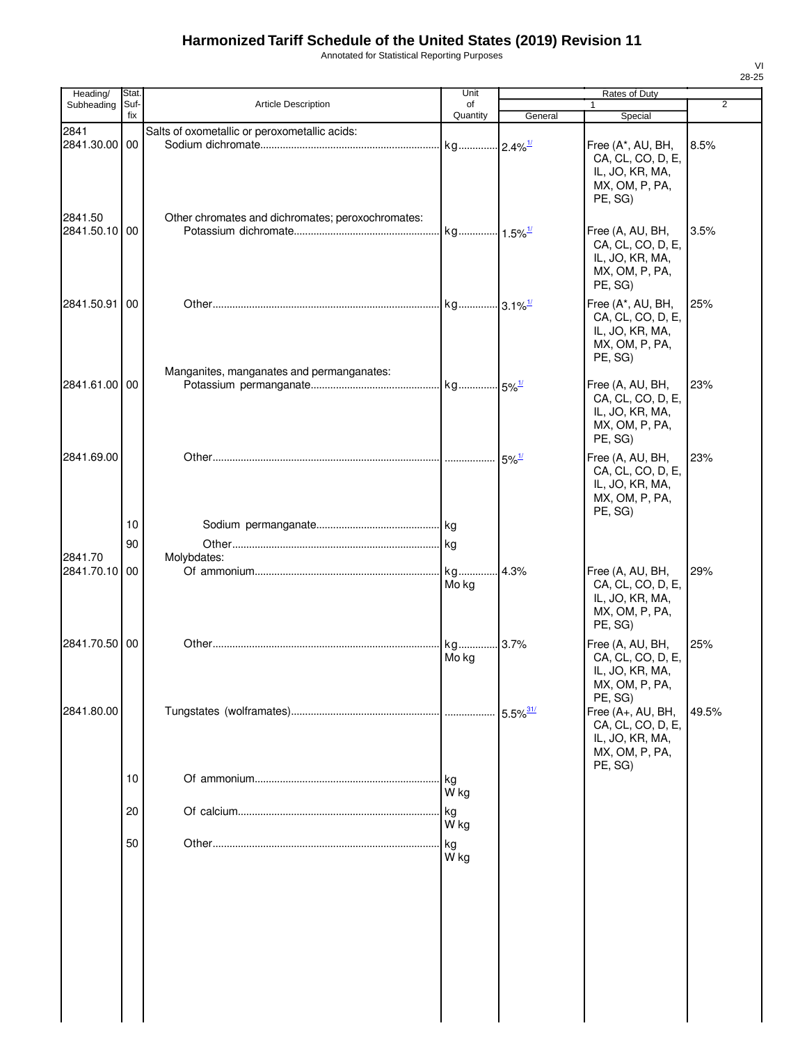Annotated for Statistical Reporting Purposes

| Heading/              | Stat.       |                                                   | Unit                  | Rates of Duty          |                                                                                        |                |  |
|-----------------------|-------------|---------------------------------------------------|-----------------------|------------------------|----------------------------------------------------------------------------------------|----------------|--|
| Subheading            | Suf-<br>fix | Article Description                               | of<br>Quantity        | General                | 1<br>Special                                                                           | $\overline{2}$ |  |
| 2841                  |             | Salts of oxometallic or peroxometallic acids:     |                       |                        |                                                                                        |                |  |
| 2841.30.00<br>2841.50 | 00          | Other chromates and dichromates; peroxochromates: | kg 2.4% <sup>1/</sup> |                        | Free (A*, AU, BH,<br>CA, CL, CO, D, E,<br>IL, JO, KR, MA,<br>MX, OM, P, PA,<br>PE, SG) | 8.5%           |  |
| 2841.50.10 00         |             |                                                   | kg 1.5% <sup>1/</sup> |                        | Free (A, AU, BH,<br>CA, CL, CO, D, E,<br>IL, JO, KR, MA,<br>MX, OM, P, PA,<br>PE, SG)  | 3.5%           |  |
| 2841.50.91            | 00          | Manganites, manganates and permanganates:         | kg 3.1% <sup>1/</sup> |                        | Free (A*, AU, BH,<br>CA, CL, CO, D, E,<br>IL, JO, KR, MA,<br>MX, OM, P, PA,<br>PE. SG) | 25%            |  |
| 2841.61.00 00         |             |                                                   |                       |                        | Free (A, AU, BH,<br>CA, CL, CO, D, E,<br>IL, JO, KR, MA,<br>MX, OM, P, PA,<br>PE, SG)  | 23%            |  |
| 2841.69.00            | 10          |                                                   |                       | $5\%$ <sup>1/</sup>    | Free (A, AU, BH,<br>CA, CL, CO, D, E,<br>IL, JO, KR, MA,<br>MX, OM, P, PA,<br>PE, SG)  | 23%            |  |
|                       |             |                                                   |                       |                        |                                                                                        |                |  |
| 2841.70               | 90          | Molybdates:                                       | .  kg                 |                        |                                                                                        |                |  |
| 2841.70.10 00         |             |                                                   | kg<br>Mo kg           | .4.3%                  | Free (A, AU, BH,<br>CA, CL, CO, D, E,<br>IL, JO, KR, MA,<br>MX, OM, P, PA,<br>PE, SG)  | 29%            |  |
| 2841.70.50            | 00          |                                                   | kg<br>Mo kg           | 3.7%                   | Free (A, AU, BH,<br>CA, CL, CO, D, E,<br>IL, JO, KR, MA,<br>MX, OM, P, PA,<br>PE, SG)  | 25%            |  |
| 2841.80.00            |             |                                                   |                       | $5.5\%$ <sup>31/</sup> | Free (A+, AU, BH,<br>CA, CL, CO, D, E,<br>IL, JO, KR, MA,<br>MX, OM, P, PA,<br>PE, SG) | 49.5%          |  |
|                       | 10          |                                                   | . kg<br>W kg          |                        |                                                                                        |                |  |
|                       | 20          |                                                   | kg<br>W kg            |                        |                                                                                        |                |  |
|                       | 50          |                                                   | kg<br>W kg            |                        |                                                                                        |                |  |
|                       |             |                                                   |                       |                        |                                                                                        |                |  |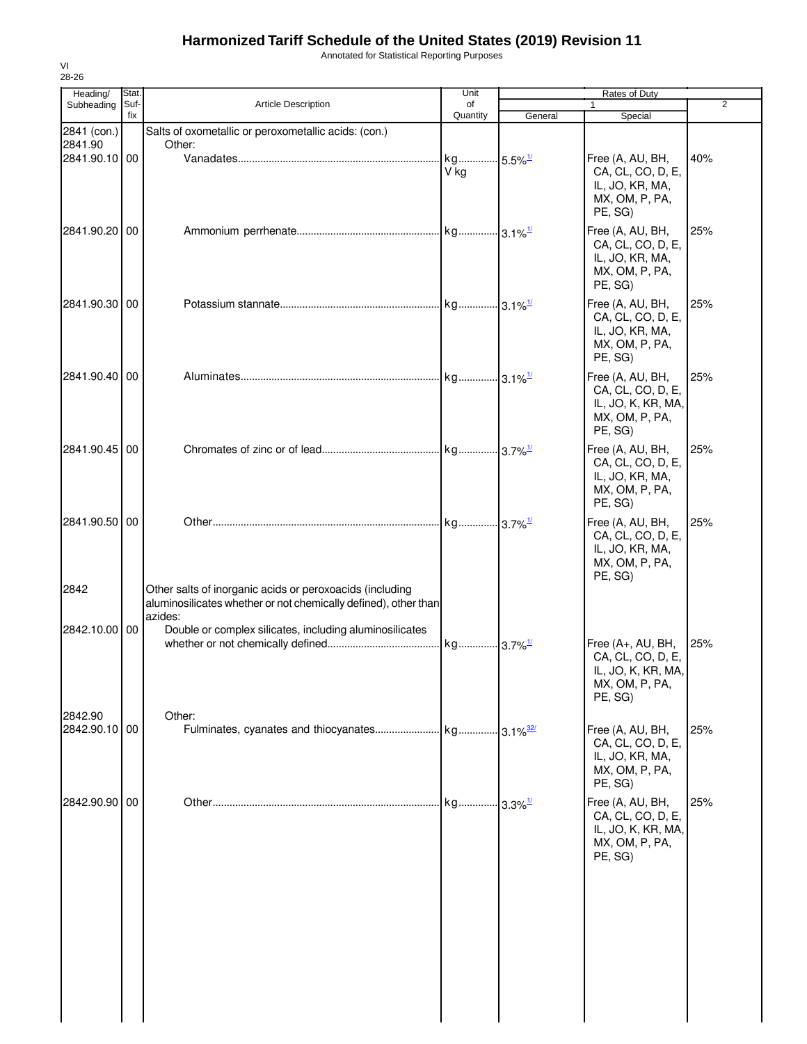Annotated for Statistical Reporting Purposes

| Heading/                 | Stat.       |                                                                                                                                        | Unit                          |                             | Rates of Duty                                                                             |                |
|--------------------------|-------------|----------------------------------------------------------------------------------------------------------------------------------------|-------------------------------|-----------------------------|-------------------------------------------------------------------------------------------|----------------|
| Subheading               | Suf-<br>fix | <b>Article Description</b>                                                                                                             | of<br>Quantity                | General                     | Special                                                                                   | $\overline{2}$ |
| 2841 (con.)              |             | Salts of oxometallic or peroxometallic acids: (con.)                                                                                   |                               |                             |                                                                                           |                |
| 2841.90                  |             | Other:                                                                                                                                 |                               |                             |                                                                                           |                |
| 2841.90.10 00            |             |                                                                                                                                        | kg 5.5% <sup>1/</sup><br>V kg |                             | Free (A, AU, BH,<br>CA, CL, CO, D, E,<br>IL, JO, KR, MA,<br>MX, OM, P, PA,<br>PE, SG)     | 40%            |
| 2841.90.20               | 00          |                                                                                                                                        |                               |                             | Free (A, AU, BH,<br>CA, CL, CO, D, E,<br>IL, JO, KR, MA,<br>MX, OM, P, PA,<br>PE, SG)     | 25%            |
| 2841.90.30 00            |             |                                                                                                                                        |                               |                             | Free (A, AU, BH,<br>CA, CL, CO, D, E,<br>IL, JO, KR, MA,<br>MX, OM, P, PA,<br>PE, SG)     | 25%            |
| 2841.90.40 00            |             |                                                                                                                                        | kg 3.1% <sup>1/</sup>         |                             | Free (A, AU, BH,<br>CA, CL, CO, D, E,<br>IL, JO, K, KR, MA,<br>MX, OM, P, PA,<br>PE, SG)  | 25%            |
| 2841.90.45 00            |             |                                                                                                                                        |                               |                             | Free (A, AU, BH,<br>CA, CL, CO, D, E,<br>IL, JO, KR, MA,<br>MX, OM, P, PA,<br>PE, SG)     | 25%            |
| 2841.90.50 00            |             |                                                                                                                                        |                               |                             | Free (A, AU, BH,<br>CA, CL, CO, D, E,<br>IL, JO, KR, MA,<br>MX, OM, P, PA,<br>PE, SG)     | 25%            |
| 2842                     |             | Other salts of inorganic acids or peroxoacids (including<br>aluminosilicates whether or not chemically defined), other than<br>azides: |                               |                             |                                                                                           |                |
| 2842.10.00 00            |             | Double or complex silicates, including aluminosilicates                                                                                | kg 3.7% <sup>1/</sup>         |                             | Free (A+, AU, BH,<br>CA, CL, CO, D, E,<br>IL, JO, K, KR, MA,<br>MX, OM, P, PA,<br>PE, SG) | 25%            |
| 2842.90<br>2842.90.10 00 |             | Other:                                                                                                                                 |                               | $\cdot$ 3.1% $\frac{32}{ }$ | Free (A, AU, BH,<br>CA, CL, CO, D, E,<br>IL, JO, KR, MA,<br>MX, OM, P, PA,<br>PE, SG)     | 25%            |
| 2842.90.90 00            |             |                                                                                                                                        | kg                            | $3.3\%$ <sup>1/</sup>       | Free (A, AU, BH,<br>CA, CL, CO, D, E,<br>IL, JO, K, KR, MA,<br>MX, OM, P, PA,<br>PE, SG)  | 25%            |
|                          |             |                                                                                                                                        |                               |                             |                                                                                           |                |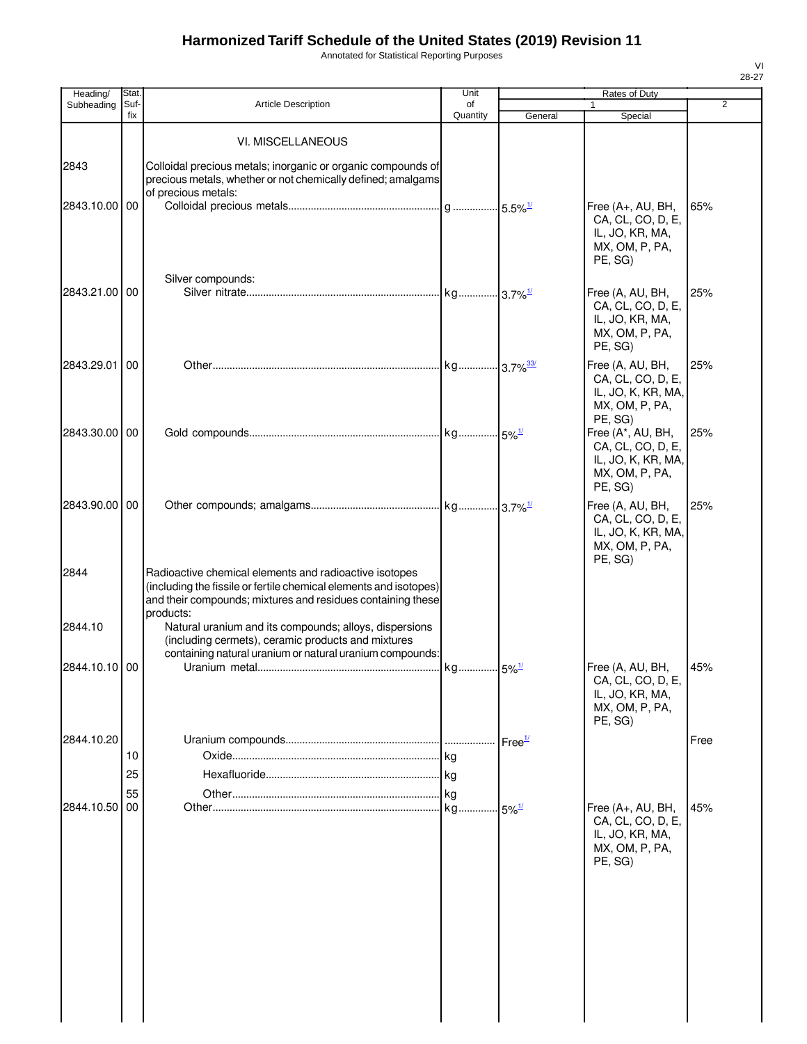Annotated for Statistical Reporting Purposes

| Heading/              | Stat.       |                                                                                                                                                                                                                                                                                                                         | Unit           | Rates of Duty       |                                                                                                      |                |  |
|-----------------------|-------------|-------------------------------------------------------------------------------------------------------------------------------------------------------------------------------------------------------------------------------------------------------------------------------------------------------------------------|----------------|---------------------|------------------------------------------------------------------------------------------------------|----------------|--|
| Subheading            | Suf-<br>fix | Article Description                                                                                                                                                                                                                                                                                                     | of<br>Quantity | General             | $\mathbf{1}$<br>Special                                                                              | $\overline{2}$ |  |
|                       |             | VI. MISCELLANEOUS                                                                                                                                                                                                                                                                                                       |                |                     |                                                                                                      |                |  |
| 2843<br>2843.10.00 00 |             | Colloidal precious metals; inorganic or organic compounds of<br>precious metals, whether or not chemically defined; amalgams<br>of precious metals:                                                                                                                                                                     |                |                     | Free (A+, AU, BH,<br>CA, CL, CO, D, E,<br>IL, JO, KR, MA,<br>MX, OM, P, PA,<br>PE, SG)               | 65%            |  |
| 2843.21.00 00         |             | Silver compounds:                                                                                                                                                                                                                                                                                                       |                |                     | Free (A, AU, BH,<br>CA, CL, CO, D, E,<br>IL, JO, KR, MA,<br>MX, OM, P, PA,<br>PE, SG)                | 25%            |  |
| 2843.29.01            | 00          |                                                                                                                                                                                                                                                                                                                         |                |                     | Free (A, AU, BH,<br>CA, CL, CO, D, E,<br>IL, JO, K, KR, MA,<br>MX, OM, P, PA,                        | 25%            |  |
| 2843.30.00 00         |             |                                                                                                                                                                                                                                                                                                                         |                |                     | PE, SG)<br>Free (A*, AU, BH,<br>CA, CL, CO, D, E,<br>IL, JO, K, KR, MA,<br>MX, OM, P, PA,<br>PE, SG) | 25%            |  |
| 2843.90.00 00         |             |                                                                                                                                                                                                                                                                                                                         |                |                     | Free (A, AU, BH,<br>CA, CL, CO, D, E,<br>IL, JO, K, KR, MA,<br>MX, OM, P, PA,<br>PE, SG)             | 25%            |  |
| 2844<br>2844.10       |             | Radioactive chemical elements and radioactive isotopes<br>(including the fissile or fertile chemical elements and isotopes)<br>and their compounds; mixtures and residues containing these<br>products:<br>Natural uranium and its compounds; alloys, dispersions<br>(including cermets), ceramic products and mixtures |                |                     |                                                                                                      |                |  |
| 2844.10.10 00         |             | containing natural uranium or natural uranium compounds:                                                                                                                                                                                                                                                                |                |                     | Free (A, AU, BH,<br>CA, CL, CO, D, E,<br>IL, JO, KR, MA,<br>MX, OM, P, PA,<br>PE, SG)                | 45%            |  |
| 2844.10.20            | 10<br>25    |                                                                                                                                                                                                                                                                                                                         |                | Free $\frac{1}{2}$  |                                                                                                      | Free           |  |
| 2844.10.50            | 55<br>00    |                                                                                                                                                                                                                                                                                                                         | kg             | $5\%$ <sup>1/</sup> | Free (A+, AU, BH,<br>CA, CL, CO, D, E,<br>IL, JO, KR, MA,<br>MX, OM, P, PA,<br>PE, SG)               | 45%            |  |
|                       |             |                                                                                                                                                                                                                                                                                                                         |                |                     |                                                                                                      |                |  |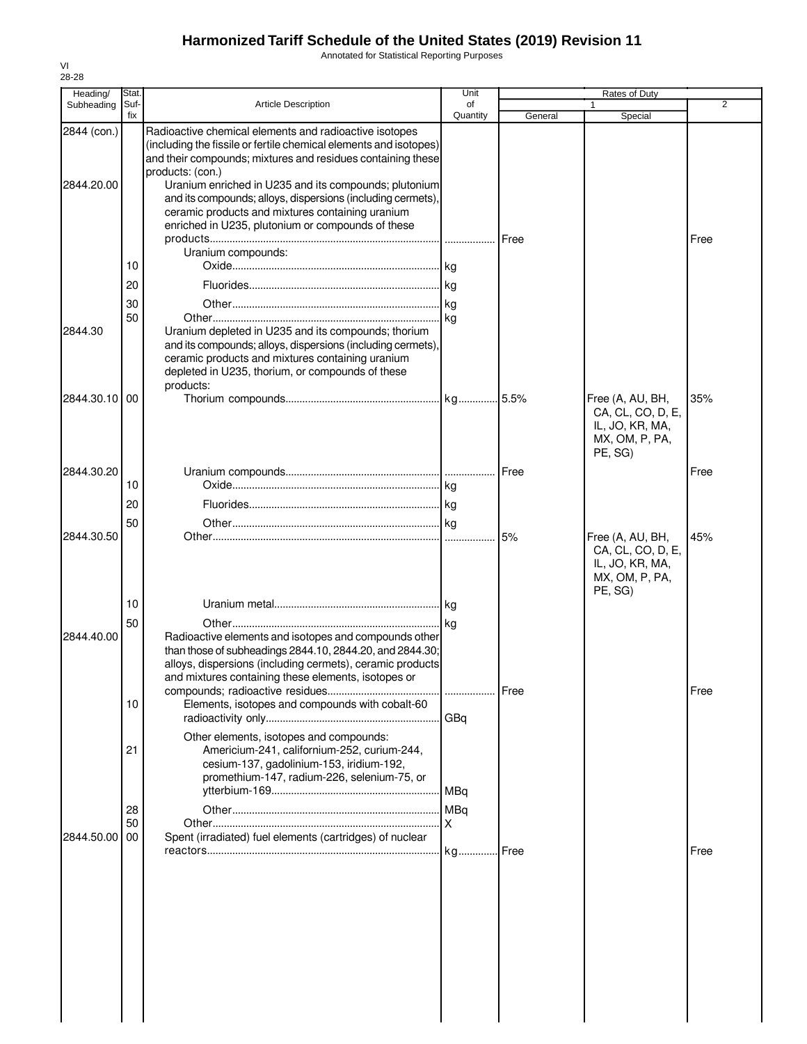Annotated for Statistical Reporting Purposes

| Heading/                  | Stat.          |                                                                                                                                                                                                                                                                                                                                                                                                                                                                       | Unit           |         | Rates of Duty                                                                         |                |
|---------------------------|----------------|-----------------------------------------------------------------------------------------------------------------------------------------------------------------------------------------------------------------------------------------------------------------------------------------------------------------------------------------------------------------------------------------------------------------------------------------------------------------------|----------------|---------|---------------------------------------------------------------------------------------|----------------|
| Subheading                | Suf-<br>fix    | <b>Article Description</b>                                                                                                                                                                                                                                                                                                                                                                                                                                            | of<br>Quantity | General | 1<br>Special                                                                          | $\overline{2}$ |
| 2844 (con.)<br>2844.20.00 | 10             | Radioactive chemical elements and radioactive isotopes<br>(including the fissile or fertile chemical elements and isotopes)<br>and their compounds; mixtures and residues containing these<br>products: (con.)<br>Uranium enriched in U235 and its compounds; plutonium<br>and its compounds; alloys, dispersions (including cermets),<br>ceramic products and mixtures containing uranium<br>enriched in U235, plutonium or compounds of these<br>Uranium compounds: |                | Free    |                                                                                       | Free           |
|                           | 20             |                                                                                                                                                                                                                                                                                                                                                                                                                                                                       |                |         |                                                                                       |                |
|                           |                |                                                                                                                                                                                                                                                                                                                                                                                                                                                                       |                |         |                                                                                       |                |
| 2844.30                   | 30<br>50       | Uranium depleted in U235 and its compounds; thorium<br>and its compounds; alloys, dispersions (including cermets),<br>ceramic products and mixtures containing uranium<br>depleted in U235, thorium, or compounds of these<br>products:                                                                                                                                                                                                                               |                |         |                                                                                       |                |
| 2844.30.10 00             |                |                                                                                                                                                                                                                                                                                                                                                                                                                                                                       |                |         | Free (A, AU, BH,<br>CA, CL, CO, D, E,<br>IL, JO, KR, MA,<br>MX, OM, P, PA,<br>PE, SG) | 35%            |
| 2844.30.20                |                |                                                                                                                                                                                                                                                                                                                                                                                                                                                                       |                | Free    |                                                                                       | Free           |
|                           | 10             |                                                                                                                                                                                                                                                                                                                                                                                                                                                                       |                |         |                                                                                       |                |
|                           | 20             |                                                                                                                                                                                                                                                                                                                                                                                                                                                                       |                |         |                                                                                       |                |
|                           | 50             |                                                                                                                                                                                                                                                                                                                                                                                                                                                                       |                |         |                                                                                       |                |
| 2844.30.50                |                |                                                                                                                                                                                                                                                                                                                                                                                                                                                                       |                | 5%      | Free (A, AU, BH,<br>CA, CL, CO, D, E,<br>IL, JO, KR, MA,<br>MX, OM, P, PA,<br>PE, SG) | 45%            |
|                           | 10             |                                                                                                                                                                                                                                                                                                                                                                                                                                                                       |                |         |                                                                                       |                |
| 2844.40.00                | 50<br>10       | Radioactive elements and isotopes and compounds other<br>than those of subheadings 2844.10, 2844.20, and 2844.30;<br>alloys, dispersions (including cermets), ceramic products<br>and mixtures containing these elements, isotopes or<br>Elements, isotopes and compounds with cobalt-60                                                                                                                                                                              |                | Free    |                                                                                       | Free           |
|                           | 21             | Other elements, isotopes and compounds:<br>Americium-241, californium-252, curium-244,<br>cesium-137, gadolinium-153, iridium-192,<br>promethium-147, radium-226, selenium-75, or                                                                                                                                                                                                                                                                                     | GBq            |         |                                                                                       |                |
| 2844.50.00                | 28<br>50<br>00 | Spent (irradiated) fuel elements (cartridges) of nuclear                                                                                                                                                                                                                                                                                                                                                                                                              | X              |         |                                                                                       |                |
|                           |                |                                                                                                                                                                                                                                                                                                                                                                                                                                                                       |                | Free.   |                                                                                       | Free           |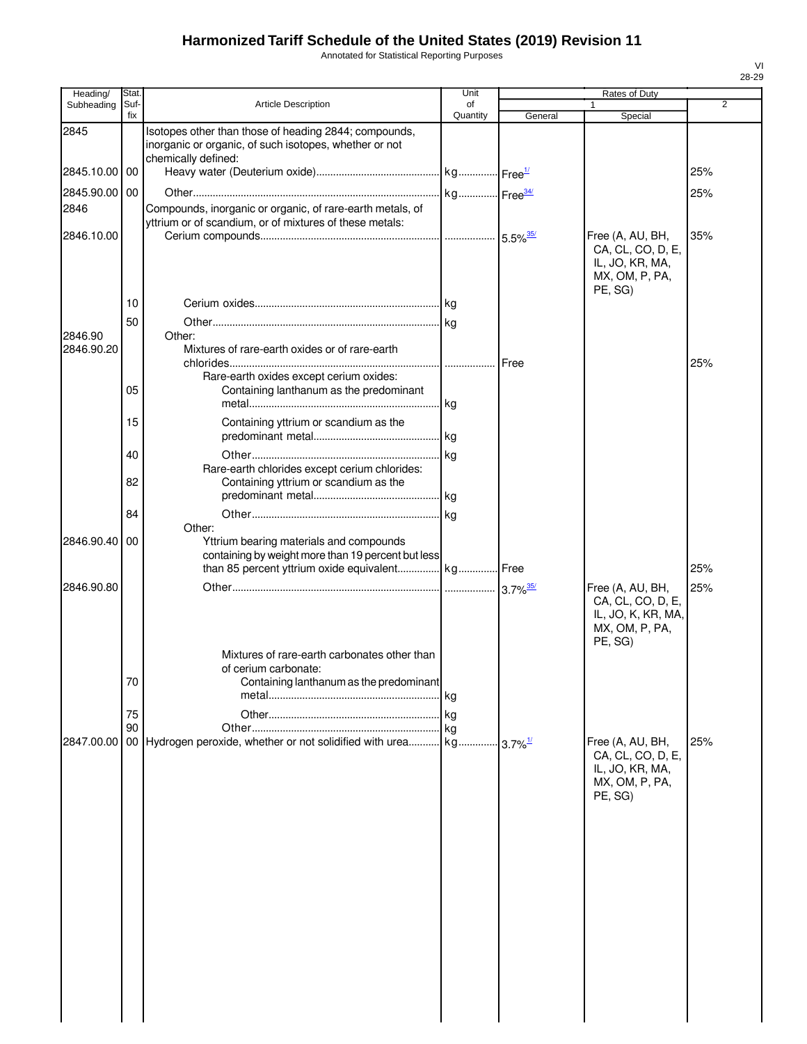Annotated for Statistical Reporting Purposes

| Heading/      | Stat.       |                                                                                                                 | Unit           |         | Rates of Duty                                                        |     |
|---------------|-------------|-----------------------------------------------------------------------------------------------------------------|----------------|---------|----------------------------------------------------------------------|-----|
| Subheading    | Suf-<br>fix | <b>Article Description</b>                                                                                      | of<br>Quantity | General | 1<br>Special                                                         | 2   |
| 2845          |             | Isotopes other than those of heading 2844; compounds,<br>inorganic or organic, of such isotopes, whether or not |                |         |                                                                      |     |
| 2845.10.00 00 |             | chemically defined:                                                                                             |                |         |                                                                      | 25% |
| 2845.90.00 00 |             |                                                                                                                 |                |         |                                                                      | 25% |
| 2846          |             | Compounds, inorganic or organic, of rare-earth metals, of                                                       |                |         |                                                                      |     |
|               |             | yttrium or of scandium, or of mixtures of these metals:                                                         |                |         |                                                                      |     |
| 2846.10.00    |             |                                                                                                                 |                |         | Free (A, AU, BH,                                                     | 35% |
|               | 10          |                                                                                                                 |                |         | CA, CL, CO, D, E,<br>IL, JO, KR, MA,<br>MX, OM, P, PA,<br>PE, SG)    |     |
|               |             |                                                                                                                 |                |         |                                                                      |     |
| 2846.90       | 50          | Other:                                                                                                          |                |         |                                                                      |     |
| 2846.90.20    |             | Mixtures of rare-earth oxides or of rare-earth                                                                  |                |         |                                                                      | 25% |
|               |             | Rare-earth oxides except cerium oxides:                                                                         |                |         |                                                                      |     |
|               | 05          | Containing lanthanum as the predominant                                                                         |                |         |                                                                      |     |
|               |             |                                                                                                                 |                |         |                                                                      |     |
|               | 15          | Containing yttrium or scandium as the                                                                           |                |         |                                                                      |     |
|               |             |                                                                                                                 |                |         |                                                                      |     |
|               | 40          |                                                                                                                 |                |         |                                                                      |     |
|               |             | Rare-earth chlorides except cerium chlorides:                                                                   |                |         |                                                                      |     |
|               | 82          | Containing yttrium or scandium as the                                                                           |                |         |                                                                      |     |
|               |             |                                                                                                                 |                |         |                                                                      |     |
|               | 84          |                                                                                                                 |                |         |                                                                      |     |
|               |             | Other:                                                                                                          |                |         |                                                                      |     |
| 2846.90.40    | 00          | Yttrium bearing materials and compounds                                                                         |                |         |                                                                      |     |
|               |             | containing by weight more than 19 percent but less                                                              |                |         |                                                                      |     |
|               |             | than 85 percent yttrium oxide equivalent kg Free                                                                |                |         |                                                                      | 25% |
| 2846.90.80    |             |                                                                                                                 |                |         | Free (A, AU, BH,                                                     | 25% |
|               |             | Mixtures of rare-earth carbonates other than                                                                    |                |         | CA, CL, CO, D, E,<br>IL, JO, K, KR, MA,<br>MX, OM, P, PA,<br>PE, SG) |     |
|               |             | of cerium carbonate:                                                                                            |                |         |                                                                      |     |
|               | 70          | Containing lanthanum as the predominant                                                                         |                |         |                                                                      |     |
|               |             |                                                                                                                 | kg             |         |                                                                      |     |
|               | 75          |                                                                                                                 |                |         |                                                                      |     |
|               | 90          |                                                                                                                 |                |         |                                                                      |     |
| 2847.00.00    |             |                                                                                                                 |                |         | Free (A, AU, BH,                                                     | 25% |
|               |             |                                                                                                                 |                |         | CA, CL, CO, D, E,<br>IL, JO, KR, MA,<br>MX, OM, P, PA,<br>PE, SG)    |     |
|               |             |                                                                                                                 |                |         |                                                                      |     |
|               |             |                                                                                                                 |                |         |                                                                      |     |
|               |             |                                                                                                                 |                |         |                                                                      |     |
|               |             |                                                                                                                 |                |         |                                                                      |     |
|               |             |                                                                                                                 |                |         |                                                                      |     |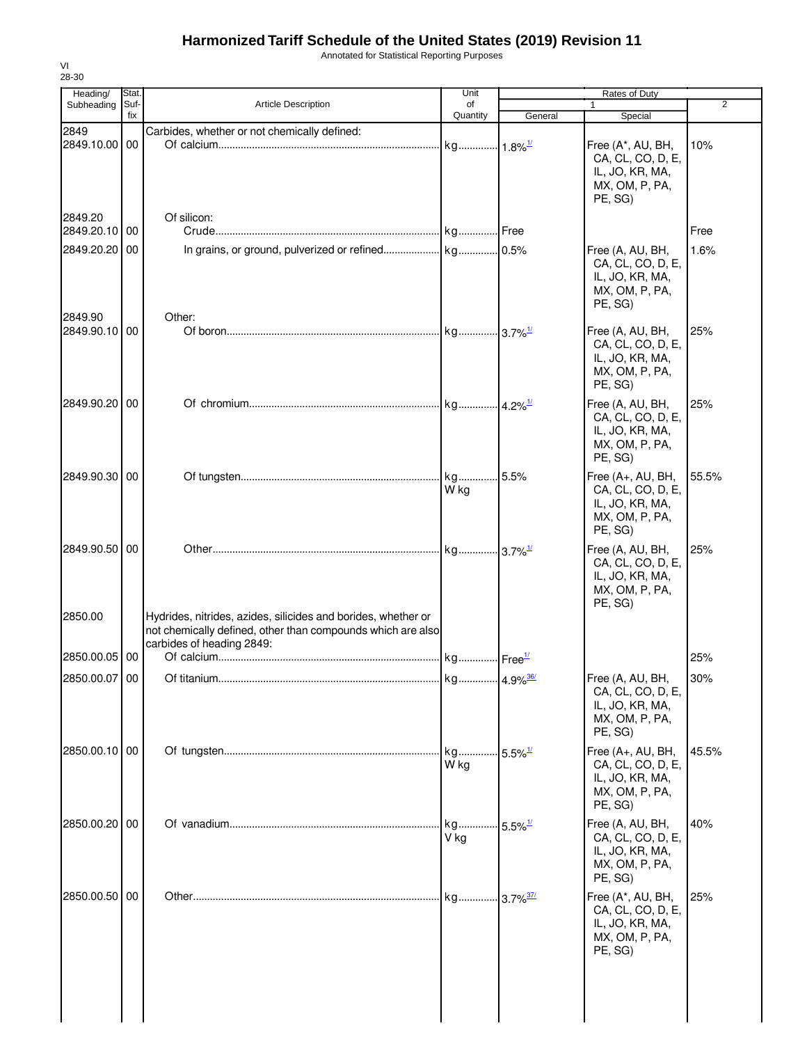Annotated for Statistical Reporting Purposes

| Heading/                 | Stat.       |                                                                                          | Unit                          | <b>Rates of Duty</b>  |                                                                                        |       |
|--------------------------|-------------|------------------------------------------------------------------------------------------|-------------------------------|-----------------------|----------------------------------------------------------------------------------------|-------|
| Subheading               | Suf-<br>fix | <b>Article Description</b>                                                               | of<br>Quantity                | General               | $\mathbf{1}$<br>Special                                                                | 2     |
| 2849                     |             | Carbides, whether or not chemically defined:                                             |                               |                       |                                                                                        |       |
| 2849.10.00 00<br>2849.20 |             |                                                                                          |                               |                       | Free (A*, AU, BH,<br>CA, CL, CO, D, E,<br>IL, JO, KR, MA,<br>MX, OM, P, PA,<br>PE, SG) | 10%   |
| 2849.20.10 00            |             | Of silicon:                                                                              |                               |                       |                                                                                        | Free  |
| 2849.20.20 00            |             |                                                                                          |                               |                       | Free (A, AU, BH,<br>CA, CL, CO, D, E,<br>IL, JO, KR, MA,<br>MX, OM, P, PA,<br>PE, SG)  | 1.6%  |
| 2849.90                  |             | Other:                                                                                   |                               |                       |                                                                                        |       |
| 2849.90.10 00            |             |                                                                                          |                               |                       | Free (A, AU, BH,<br>CA, CL, CO, D, E,<br>IL, JO, KR, MA,<br>MX, OM, P, PA,<br>PE, SG)  | 25%   |
| 2849.90.20 00            |             |                                                                                          |                               |                       | Free (A, AU, BH,<br>CA, CL, CO, D, E,<br>IL, JO, KR, MA,<br>MX, OM, P, PA,<br>PE, SG)  | 25%   |
| 2849.90.30 00            |             |                                                                                          | kg 5.5%<br>W kg               |                       | Free (A+, AU, BH,<br>CA, CL, CO, D, E,<br>IL, JO, KR, MA,<br>MX, OM, P, PA,<br>PE, SG) | 55.5% |
| 2849.90.50 00<br>2850.00 |             | Hydrides, nitrides, azides, silicides and borides, whether or                            |                               |                       | Free (A, AU, BH,<br>CA, CL, CO, D, E,<br>IL, JO, KR, MA,<br>MX, OM, P, PA,<br>PE, SG)  | 25%   |
|                          |             | not chemically defined, other than compounds which are also<br>carbides of heading 2849: |                               |                       |                                                                                        |       |
| 2850.00.05 00            |             |                                                                                          |                               |                       |                                                                                        | 25%   |
| 2850.00.07 00            |             |                                                                                          |                               |                       | Free (A, AU, BH,<br>CA, CL, CO, D, E,<br>IL, JO, KR, MA,<br>MX, OM, P, PA,<br>PE, SG)  | 30%   |
| 2850.00.10 00            |             |                                                                                          | kg<br>W kg                    | $5.5\%$ <sup>1/</sup> | Free (A+, AU, BH,<br>CA, CL, CO, D, E,<br>IL, JO, KR, MA,<br>MX, OM, P, PA,<br>PE, SG) | 45.5% |
| 2850.00.20 00            |             |                                                                                          | kg 5.5% <sup>1/</sup><br>V ka |                       | Free (A, AU, BH,<br>CA, CL, CO, D, E,<br>IL, JO, KR, MA,<br>MX, OM, P, PA,<br>PE, SG)  | 40%   |
| 2850.00.50 00            |             |                                                                                          | kg 3.7% <sup>37/</sup>        |                       | Free (A*, AU, BH,<br>CA, CL, CO, D, E,<br>IL, JO, KR, MA,<br>MX, OM, P, PA,<br>PE, SG) | 25%   |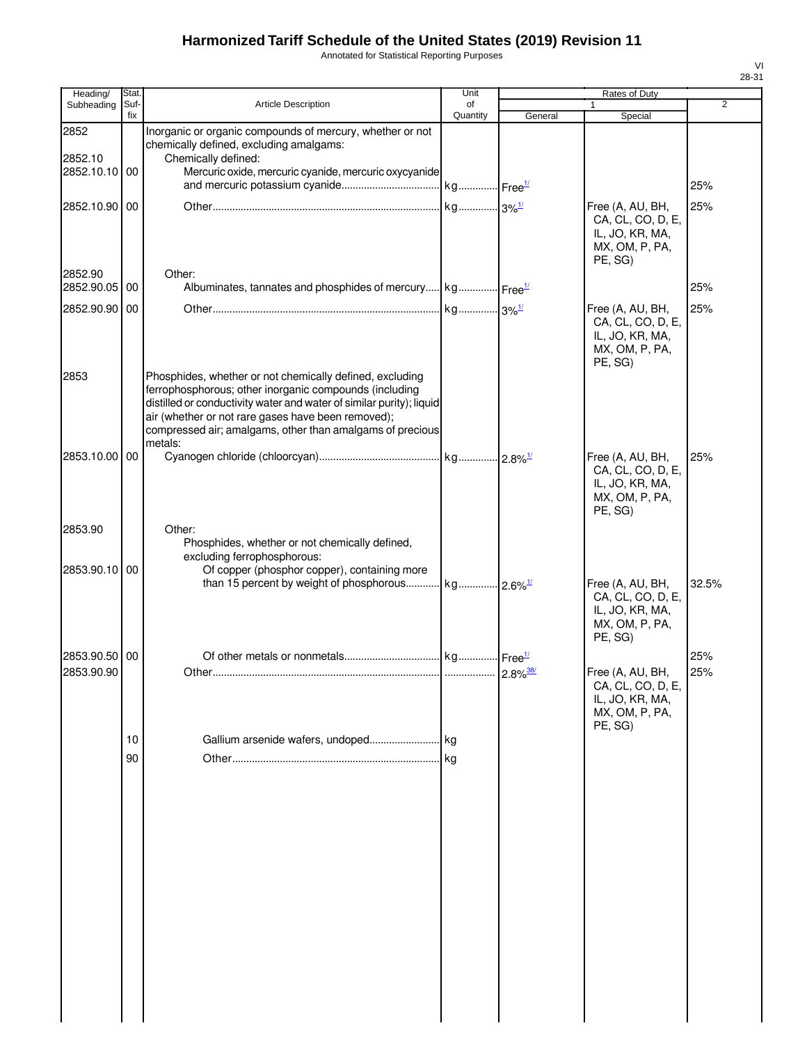Annotated for Statistical Reporting Purposes

| Heading/                    | Stat.       |                                                                                                                                                                                                                                                                                                                          | Unit           |         | Rates of Duty                                                                         |                |
|-----------------------------|-------------|--------------------------------------------------------------------------------------------------------------------------------------------------------------------------------------------------------------------------------------------------------------------------------------------------------------------------|----------------|---------|---------------------------------------------------------------------------------------|----------------|
| Subheading                  | Suf-<br>fix | <b>Article Description</b>                                                                                                                                                                                                                                                                                               | of<br>Quantity | General | $\mathbf{1}$<br>Special                                                               | $\overline{2}$ |
| 2852                        |             | Inorganic or organic compounds of mercury, whether or not<br>chemically defined, excluding amalgams:                                                                                                                                                                                                                     |                |         |                                                                                       |                |
| 2852.10<br>2852.10.10 00    |             | Chemically defined:<br>Mercuric oxide, mercuric cyanide, mercuric oxycyanide                                                                                                                                                                                                                                             |                |         |                                                                                       | 25%            |
| 2852.10.90 00               |             |                                                                                                                                                                                                                                                                                                                          |                |         | Free (A, AU, BH,<br>CA, CL, CO, D, E,<br>IL, JO, KR, MA,<br>MX, OM, P, PA,<br>PE, SG) | 25%            |
| 2852.90<br>2852.90.05 00    |             | Other:<br>Albuminates, tannates and phosphides of mercury kg Free <sup>1/</sup>                                                                                                                                                                                                                                          |                |         |                                                                                       | 25%            |
| 2852.90.90 00               |             |                                                                                                                                                                                                                                                                                                                          |                |         | Free (A, AU, BH,<br>CA, CL, CO, D, E,<br>IL, JO, KR, MA,<br>MX, OM, P, PA,<br>PE, SG) | 25%            |
| 2853                        |             | Phosphides, whether or not chemically defined, excluding<br>ferrophosphorous; other inorganic compounds (including<br>distilled or conductivity water and water of similar purity); liquid<br>air (whether or not rare gases have been removed);<br>compressed air; amalgams, other than amalgams of precious<br>metals: |                |         |                                                                                       |                |
| 2853.10.00 00               |             |                                                                                                                                                                                                                                                                                                                          |                |         | Free (A, AU, BH,<br>CA, CL, CO, D, E,<br>IL, JO, KR, MA,<br>MX, OM, P, PA,<br>PE, SG) | 25%            |
| 2853.90                     |             | Other:<br>Phosphides, whether or not chemically defined,<br>excluding ferrophosphorous:                                                                                                                                                                                                                                  |                |         |                                                                                       |                |
| 2853.90.10 00               |             | Of copper (phosphor copper), containing more<br>than 15 percent by weight of phosphorous kg 2.6% <sup>1/</sup>                                                                                                                                                                                                           |                |         | Free (A, AU, BH,<br>CA, CL, CO, D, E,<br>IL, JO, KR, MA,<br>MX, OM, P, PA,<br>PE, SG) | 32.5%          |
| 2853.90.50 00<br>2853.90.90 |             | Other                                                                                                                                                                                                                                                                                                                    |                |         | Free (A, AU, BH,<br>CA, CL, CO, D, E,<br>IL, JO, KR, MA,<br>MX, OM, P, PA,<br>PE, SG) | 25%<br>25%     |
|                             | 10          |                                                                                                                                                                                                                                                                                                                          |                |         |                                                                                       |                |
|                             | 90          |                                                                                                                                                                                                                                                                                                                          |                |         |                                                                                       |                |
|                             |             |                                                                                                                                                                                                                                                                                                                          |                |         |                                                                                       |                |